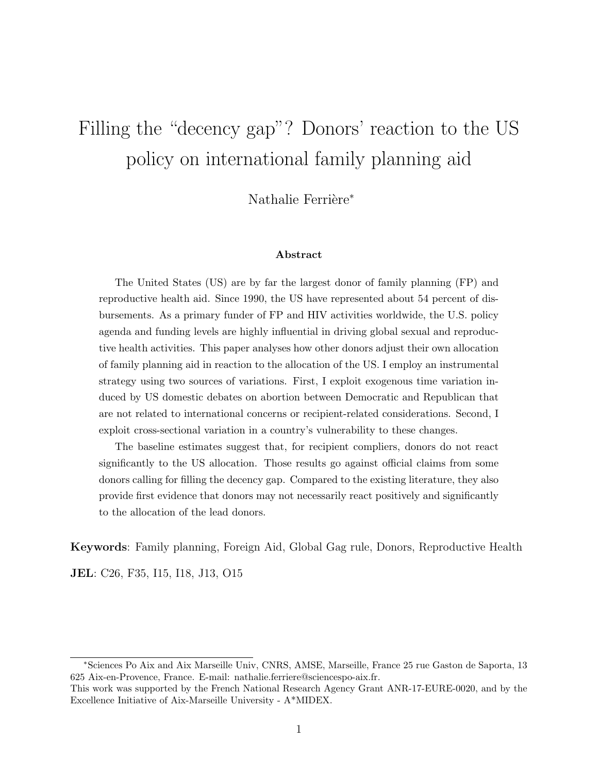# Filling the "decency gap"? Donors' reaction to the US policy on international family planning aid

Nathalie Ferrière<sup>\*</sup>

#### Abstract

The United States (US) are by far the largest donor of family planning (FP) and reproductive health aid. Since 1990, the US have represented about 54 percent of disbursements. As a primary funder of FP and HIV activities worldwide, the U.S. policy agenda and funding levels are highly influential in driving global sexual and reproductive health activities. This paper analyses how other donors adjust their own allocation of family planning aid in reaction to the allocation of the US. I employ an instrumental strategy using two sources of variations. First, I exploit exogenous time variation induced by US domestic debates on abortion between Democratic and Republican that are not related to international concerns or recipient-related considerations. Second, I exploit cross-sectional variation in a country's vulnerability to these changes.

The baseline estimates suggest that, for recipient compliers, donors do not react significantly to the US allocation. Those results go against official claims from some donors calling for filling the decency gap. Compared to the existing literature, they also provide first evidence that donors may not necessarily react positively and significantly to the allocation of the lead donors.

Keywords: Family planning, Foreign Aid, Global Gag rule, Donors, Reproductive Health

JEL: C26, F35, I15, I18, J13, O15

<sup>∗</sup>Sciences Po Aix and Aix Marseille Univ, CNRS, AMSE, Marseille, France 25 rue Gaston de Saporta, 13 625 Aix-en-Provence, France. E-mail: nathalie.ferriere@sciencespo-aix.fr.

This work was supported by the French National Research Agency Grant ANR-17-EURE-0020, and by the Excellence Initiative of Aix-Marseille University - A\*MIDEX.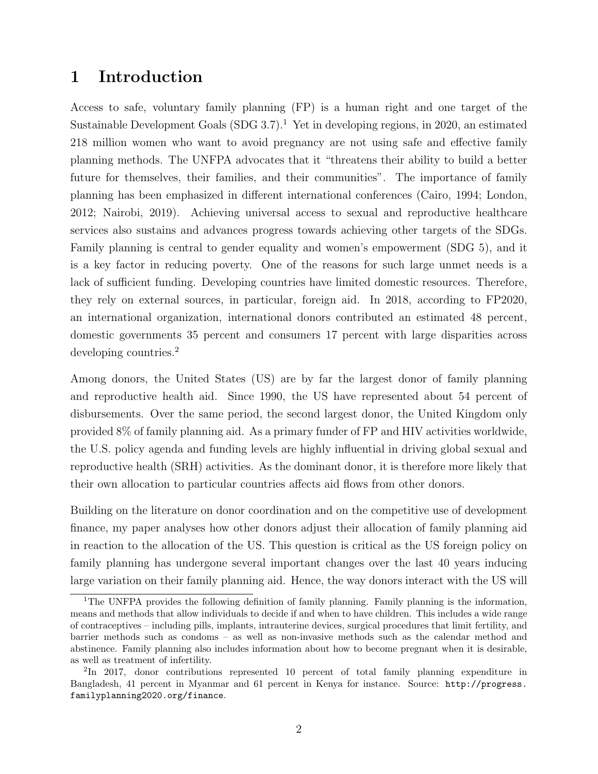# 1 Introduction

Access to safe, voluntary family planning (FP) is a human right and one target of the Sustainable Development Goals  $(SDG 3.7).<sup>1</sup>$  Yet in developing regions, in 2020, an estimated 218 million women who want to avoid pregnancy are not using safe and effective family planning methods. The UNFPA advocates that it "threatens their ability to build a better future for themselves, their families, and their communities". The importance of family planning has been emphasized in different international conferences (Cairo, 1994; London, 2012; Nairobi, 2019). Achieving universal access to sexual and reproductive healthcare services also sustains and advances progress towards achieving other targets of the SDGs. Family planning is central to gender equality and women's empowerment (SDG 5), and it is a key factor in reducing poverty. One of the reasons for such large unmet needs is a lack of sufficient funding. Developing countries have limited domestic resources. Therefore, they rely on external sources, in particular, foreign aid. In 2018, according to FP2020, an international organization, international donors contributed an estimated 48 percent, domestic governments 35 percent and consumers 17 percent with large disparities across developing countries.<sup>2</sup>

Among donors, the United States (US) are by far the largest donor of family planning and reproductive health aid. Since 1990, the US have represented about 54 percent of disbursements. Over the same period, the second largest donor, the United Kingdom only provided 8% of family planning aid. As a primary funder of FP and HIV activities worldwide, the U.S. policy agenda and funding levels are highly influential in driving global sexual and reproductive health (SRH) activities. As the dominant donor, it is therefore more likely that their own allocation to particular countries affects aid flows from other donors.

Building on the literature on donor coordination and on the competitive use of development finance, my paper analyses how other donors adjust their allocation of family planning aid in reaction to the allocation of the US. This question is critical as the US foreign policy on family planning has undergone several important changes over the last 40 years inducing large variation on their family planning aid. Hence, the way donors interact with the US will

<sup>&</sup>lt;sup>1</sup>The UNFPA provides the following definition of family planning. Family planning is the information, means and methods that allow individuals to decide if and when to have children. This includes a wide range of contraceptives – including pills, implants, intrauterine devices, surgical procedures that limit fertility, and barrier methods such as condoms – as well as non-invasive methods such as the calendar method and abstinence. Family planning also includes information about how to become pregnant when it is desirable, as well as treatment of infertility.

<sup>&</sup>lt;sup>2</sup>In 2017, donor contributions represented 10 percent of total family planning expenditure in Bangladesh, 41 percent in Myanmar and 61 percent in Kenya for instance. Source: http://progress. familyplanning2020.org/finance.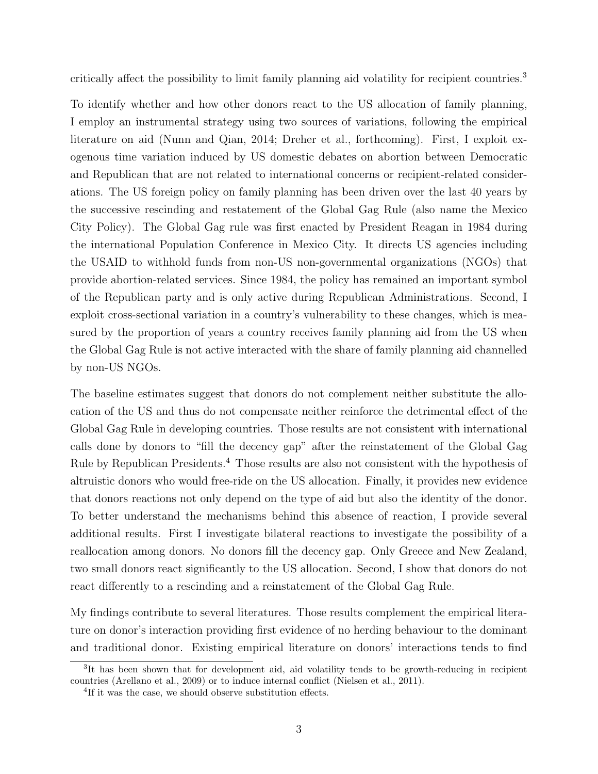critically affect the possibility to limit family planning aid volatility for recipient countries.<sup>3</sup>

To identify whether and how other donors react to the US allocation of family planning, I employ an instrumental strategy using two sources of variations, following the empirical literature on aid (Nunn and Qian, 2014; Dreher et al., forthcoming). First, I exploit exogenous time variation induced by US domestic debates on abortion between Democratic and Republican that are not related to international concerns or recipient-related considerations. The US foreign policy on family planning has been driven over the last 40 years by the successive rescinding and restatement of the Global Gag Rule (also name the Mexico City Policy). The Global Gag rule was first enacted by President Reagan in 1984 during the international Population Conference in Mexico City. It directs US agencies including the USAID to withhold funds from non-US non-governmental organizations (NGOs) that provide abortion-related services. Since 1984, the policy has remained an important symbol of the Republican party and is only active during Republican Administrations. Second, I exploit cross-sectional variation in a country's vulnerability to these changes, which is measured by the proportion of years a country receives family planning aid from the US when the Global Gag Rule is not active interacted with the share of family planning aid channelled by non-US NGOs.

The baseline estimates suggest that donors do not complement neither substitute the allocation of the US and thus do not compensate neither reinforce the detrimental effect of the Global Gag Rule in developing countries. Those results are not consistent with international calls done by donors to "fill the decency gap" after the reinstatement of the Global Gag Rule by Republican Presidents.<sup>4</sup> Those results are also not consistent with the hypothesis of altruistic donors who would free-ride on the US allocation. Finally, it provides new evidence that donors reactions not only depend on the type of aid but also the identity of the donor. To better understand the mechanisms behind this absence of reaction, I provide several additional results. First I investigate bilateral reactions to investigate the possibility of a reallocation among donors. No donors fill the decency gap. Only Greece and New Zealand, two small donors react significantly to the US allocation. Second, I show that donors do not react differently to a rescinding and a reinstatement of the Global Gag Rule.

My findings contribute to several literatures. Those results complement the empirical literature on donor's interaction providing first evidence of no herding behaviour to the dominant and traditional donor. Existing empirical literature on donors' interactions tends to find

<sup>&</sup>lt;sup>3</sup>It has been shown that for development aid, aid volatility tends to be growth-reducing in recipient countries (Arellano et al., 2009) or to induce internal conflict (Nielsen et al., 2011).

<sup>&</sup>lt;sup>4</sup>If it was the case, we should observe substitution effects.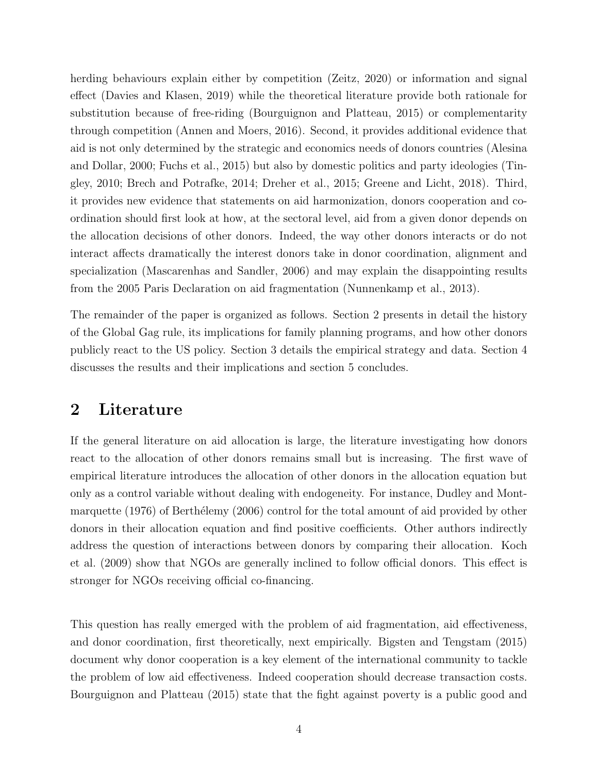herding behaviours explain either by competition (Zeitz, 2020) or information and signal effect (Davies and Klasen, 2019) while the theoretical literature provide both rationale for substitution because of free-riding (Bourguignon and Platteau, 2015) or complementarity through competition (Annen and Moers, 2016). Second, it provides additional evidence that aid is not only determined by the strategic and economics needs of donors countries (Alesina and Dollar, 2000; Fuchs et al., 2015) but also by domestic politics and party ideologies (Tingley, 2010; Brech and Potrafke, 2014; Dreher et al., 2015; Greene and Licht, 2018). Third, it provides new evidence that statements on aid harmonization, donors cooperation and coordination should first look at how, at the sectoral level, aid from a given donor depends on the allocation decisions of other donors. Indeed, the way other donors interacts or do not interact affects dramatically the interest donors take in donor coordination, alignment and specialization (Mascarenhas and Sandler, 2006) and may explain the disappointing results from the 2005 Paris Declaration on aid fragmentation (Nunnenkamp et al., 2013).

The remainder of the paper is organized as follows. Section 2 presents in detail the history of the Global Gag rule, its implications for family planning programs, and how other donors publicly react to the US policy. Section 3 details the empirical strategy and data. Section 4 discusses the results and their implications and section 5 concludes.

## 2 Literature

If the general literature on aid allocation is large, the literature investigating how donors react to the allocation of other donors remains small but is increasing. The first wave of empirical literature introduces the allocation of other donors in the allocation equation but only as a control variable without dealing with endogeneity. For instance, Dudley and Montmarquette (1976) of Berthélemy (2006) control for the total amount of aid provided by other donors in their allocation equation and find positive coefficients. Other authors indirectly address the question of interactions between donors by comparing their allocation. Koch et al. (2009) show that NGOs are generally inclined to follow official donors. This effect is stronger for NGOs receiving official co-financing.

This question has really emerged with the problem of aid fragmentation, aid effectiveness, and donor coordination, first theoretically, next empirically. Bigsten and Tengstam (2015) document why donor cooperation is a key element of the international community to tackle the problem of low aid effectiveness. Indeed cooperation should decrease transaction costs. Bourguignon and Platteau (2015) state that the fight against poverty is a public good and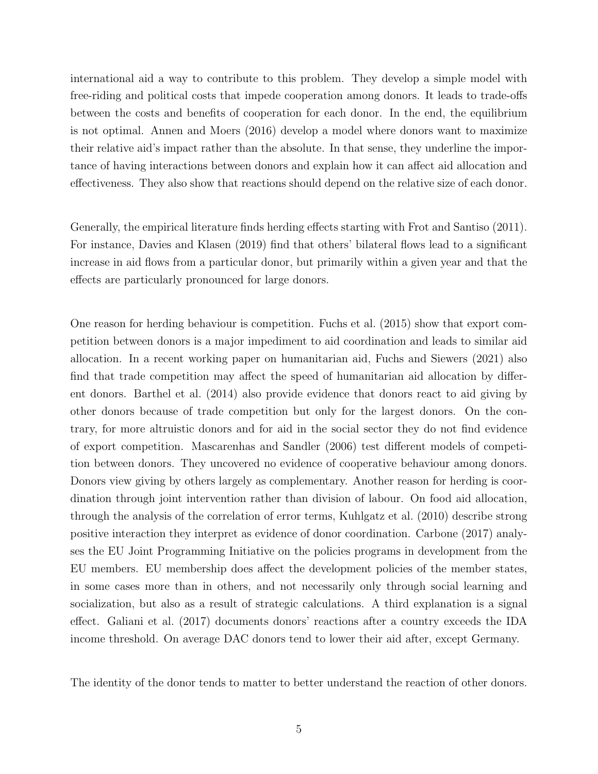international aid a way to contribute to this problem. They develop a simple model with free-riding and political costs that impede cooperation among donors. It leads to trade-offs between the costs and benefits of cooperation for each donor. In the end, the equilibrium is not optimal. Annen and Moers (2016) develop a model where donors want to maximize their relative aid's impact rather than the absolute. In that sense, they underline the importance of having interactions between donors and explain how it can affect aid allocation and effectiveness. They also show that reactions should depend on the relative size of each donor.

Generally, the empirical literature finds herding effects starting with Frot and Santiso (2011). For instance, Davies and Klasen (2019) find that others' bilateral flows lead to a significant increase in aid flows from a particular donor, but primarily within a given year and that the effects are particularly pronounced for large donors.

One reason for herding behaviour is competition. Fuchs et al. (2015) show that export competition between donors is a major impediment to aid coordination and leads to similar aid allocation. In a recent working paper on humanitarian aid, Fuchs and Siewers (2021) also find that trade competition may affect the speed of humanitarian aid allocation by different donors. Barthel et al. (2014) also provide evidence that donors react to aid giving by other donors because of trade competition but only for the largest donors. On the contrary, for more altruistic donors and for aid in the social sector they do not find evidence of export competition. Mascarenhas and Sandler (2006) test different models of competition between donors. They uncovered no evidence of cooperative behaviour among donors. Donors view giving by others largely as complementary. Another reason for herding is coordination through joint intervention rather than division of labour. On food aid allocation, through the analysis of the correlation of error terms, Kuhlgatz et al. (2010) describe strong positive interaction they interpret as evidence of donor coordination. Carbone (2017) analyses the EU Joint Programming Initiative on the policies programs in development from the EU members. EU membership does affect the development policies of the member states, in some cases more than in others, and not necessarily only through social learning and socialization, but also as a result of strategic calculations. A third explanation is a signal effect. Galiani et al. (2017) documents donors' reactions after a country exceeds the IDA income threshold. On average DAC donors tend to lower their aid after, except Germany.

The identity of the donor tends to matter to better understand the reaction of other donors.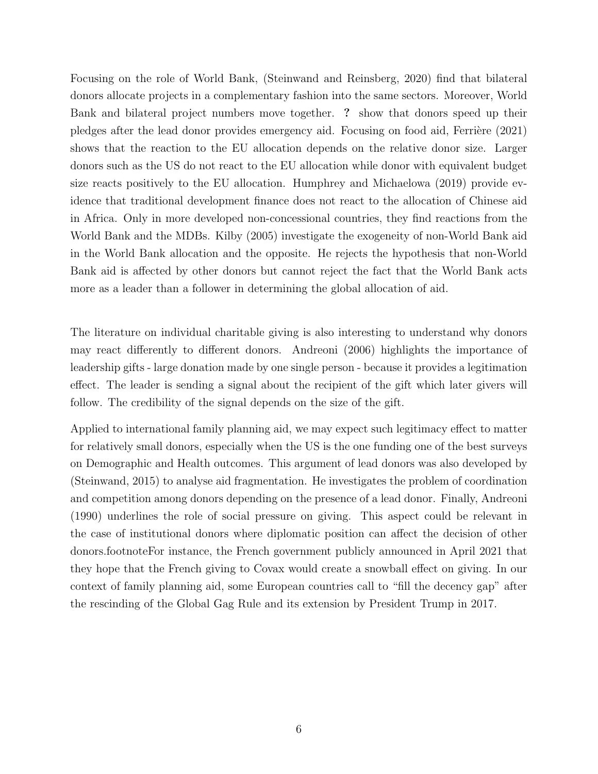Focusing on the role of World Bank, (Steinwand and Reinsberg, 2020) find that bilateral donors allocate projects in a complementary fashion into the same sectors. Moreover, World Bank and bilateral project numbers move together. ? show that donors speed up their pledges after the lead donor provides emergency aid. Focusing on food aid, Ferrière (2021) shows that the reaction to the EU allocation depends on the relative donor size. Larger donors such as the US do not react to the EU allocation while donor with equivalent budget size reacts positively to the EU allocation. Humphrey and Michaelowa (2019) provide evidence that traditional development finance does not react to the allocation of Chinese aid in Africa. Only in more developed non-concessional countries, they find reactions from the World Bank and the MDBs. Kilby (2005) investigate the exogeneity of non-World Bank aid in the World Bank allocation and the opposite. He rejects the hypothesis that non-World Bank aid is affected by other donors but cannot reject the fact that the World Bank acts more as a leader than a follower in determining the global allocation of aid.

The literature on individual charitable giving is also interesting to understand why donors may react differently to different donors. Andreoni (2006) highlights the importance of leadership gifts - large donation made by one single person - because it provides a legitimation effect. The leader is sending a signal about the recipient of the gift which later givers will follow. The credibility of the signal depends on the size of the gift.

Applied to international family planning aid, we may expect such legitimacy effect to matter for relatively small donors, especially when the US is the one funding one of the best surveys on Demographic and Health outcomes. This argument of lead donors was also developed by (Steinwand, 2015) to analyse aid fragmentation. He investigates the problem of coordination and competition among donors depending on the presence of a lead donor. Finally, Andreoni (1990) underlines the role of social pressure on giving. This aspect could be relevant in the case of institutional donors where diplomatic position can affect the decision of other donors.footnoteFor instance, the French government publicly announced in April 2021 that they hope that the French giving to Covax would create a snowball effect on giving. In our context of family planning aid, some European countries call to "fill the decency gap" after the rescinding of the Global Gag Rule and its extension by President Trump in 2017.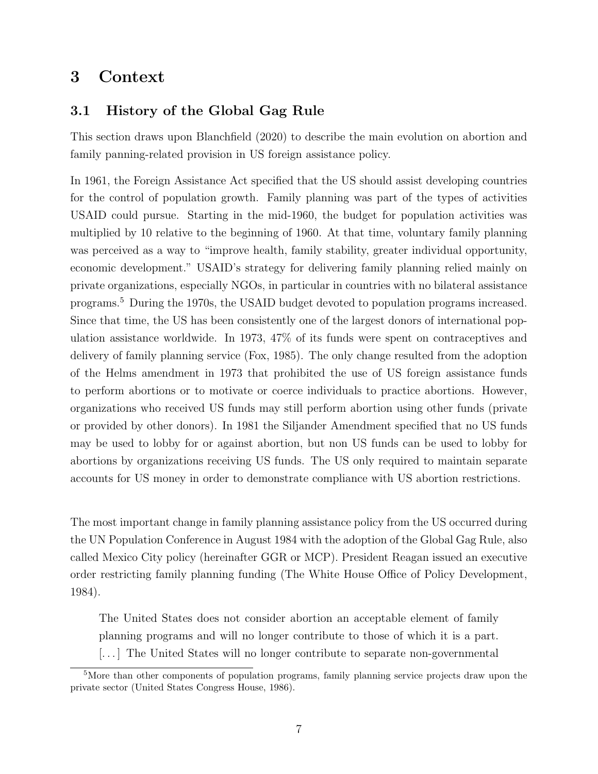# 3 Context

## 3.1 History of the Global Gag Rule

This section draws upon Blanchfield (2020) to describe the main evolution on abortion and family panning-related provision in US foreign assistance policy.

In 1961, the Foreign Assistance Act specified that the US should assist developing countries for the control of population growth. Family planning was part of the types of activities USAID could pursue. Starting in the mid-1960, the budget for population activities was multiplied by 10 relative to the beginning of 1960. At that time, voluntary family planning was perceived as a way to "improve health, family stability, greater individual opportunity, economic development." USAID's strategy for delivering family planning relied mainly on private organizations, especially NGOs, in particular in countries with no bilateral assistance programs.<sup>5</sup> During the 1970s, the USAID budget devoted to population programs increased. Since that time, the US has been consistently one of the largest donors of international population assistance worldwide. In 1973, 47% of its funds were spent on contraceptives and delivery of family planning service (Fox, 1985). The only change resulted from the adoption of the Helms amendment in 1973 that prohibited the use of US foreign assistance funds to perform abortions or to motivate or coerce individuals to practice abortions. However, organizations who received US funds may still perform abortion using other funds (private or provided by other donors). In 1981 the Siljander Amendment specified that no US funds may be used to lobby for or against abortion, but non US funds can be used to lobby for abortions by organizations receiving US funds. The US only required to maintain separate accounts for US money in order to demonstrate compliance with US abortion restrictions.

The most important change in family planning assistance policy from the US occurred during the UN Population Conference in August 1984 with the adoption of the Global Gag Rule, also called Mexico City policy (hereinafter GGR or MCP). President Reagan issued an executive order restricting family planning funding (The White House Office of Policy Development, 1984).

The United States does not consider abortion an acceptable element of family planning programs and will no longer contribute to those of which it is a part. [...] The United States will no longer contribute to separate non-governmental

<sup>5</sup>More than other components of population programs, family planning service projects draw upon the private sector (United States Congress House, 1986).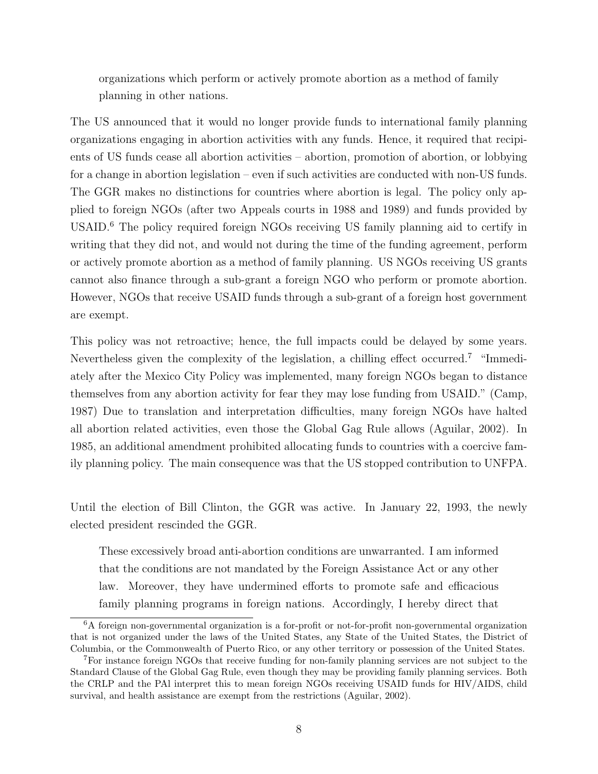organizations which perform or actively promote abortion as a method of family planning in other nations.

The US announced that it would no longer provide funds to international family planning organizations engaging in abortion activities with any funds. Hence, it required that recipients of US funds cease all abortion activities – abortion, promotion of abortion, or lobbying for a change in abortion legislation – even if such activities are conducted with non-US funds. The GGR makes no distinctions for countries where abortion is legal. The policy only applied to foreign NGOs (after two Appeals courts in 1988 and 1989) and funds provided by USAID.<sup>6</sup> The policy required foreign NGOs receiving US family planning aid to certify in writing that they did not, and would not during the time of the funding agreement, perform or actively promote abortion as a method of family planning. US NGOs receiving US grants cannot also finance through a sub-grant a foreign NGO who perform or promote abortion. However, NGOs that receive USAID funds through a sub-grant of a foreign host government are exempt.

This policy was not retroactive; hence, the full impacts could be delayed by some years. Nevertheless given the complexity of the legislation, a chilling effect occurred.<sup>7</sup> "Immediately after the Mexico City Policy was implemented, many foreign NGOs began to distance themselves from any abortion activity for fear they may lose funding from USAID." (Camp, 1987) Due to translation and interpretation difficulties, many foreign NGOs have halted all abortion related activities, even those the Global Gag Rule allows (Aguilar, 2002). In 1985, an additional amendment prohibited allocating funds to countries with a coercive family planning policy. The main consequence was that the US stopped contribution to UNFPA.

Until the election of Bill Clinton, the GGR was active. In January 22, 1993, the newly elected president rescinded the GGR.

These excessively broad anti-abortion conditions are unwarranted. I am informed that the conditions are not mandated by the Foreign Assistance Act or any other law. Moreover, they have undermined efforts to promote safe and efficacious family planning programs in foreign nations. Accordingly, I hereby direct that

<sup>6</sup>A foreign non-governmental organization is a for-profit or not-for-profit non-governmental organization that is not organized under the laws of the United States, any State of the United States, the District of Columbia, or the Commonwealth of Puerto Rico, or any other territory or possession of the United States.

<sup>7</sup>For instance foreign NGOs that receive funding for non-family planning services are not subject to the Standard Clause of the Global Gag Rule, even though they may be providing family planning services. Both the CRLP and the PAl interpret this to mean foreign NGOs receiving USAID funds for HIV/AIDS, child survival, and health assistance are exempt from the restrictions (Aguilar, 2002).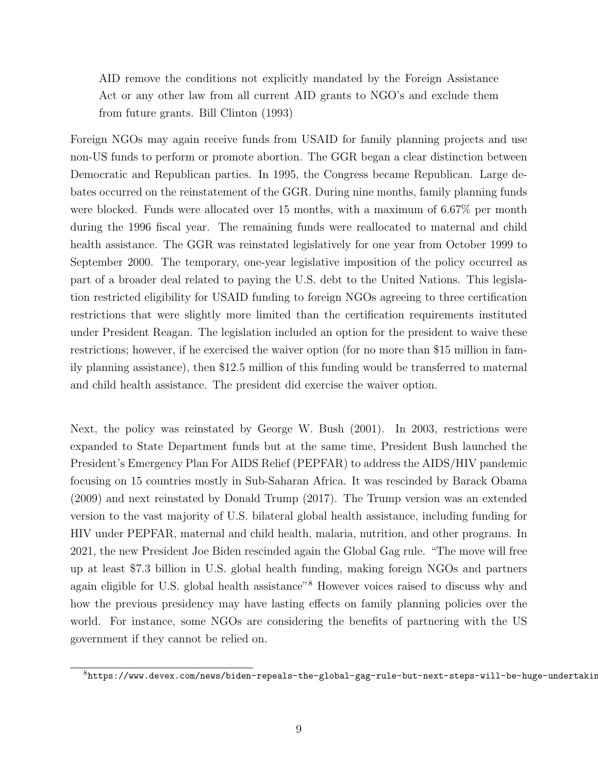AID remove the conditions not explicitly mandated by the Foreign Assistance Act or any other law from all current AID grants to NGO's and exclude them from future grants. Bill Clinton (1993)

Foreign NGOs may again receive funds from USAID for family planning projects and use non-US funds to perform or promote abortion. The GGR began a clear distinction between Democratic and Republican parties. In 1995, the Congress became Republican. Large debates occurred on the reinstatement of the GGR. During nine months, family planning funds were blocked. Funds were allocated over 15 months, with a maximum of 6.67% per month during the 1996 fiscal year. The remaining funds were reallocated to maternal and child health assistance. The GGR was reinstated legislatively for one year from October 1999 to September 2000. The temporary, one-year legislative imposition of the policy occurred as part of a broader deal related to paying the U.S. debt to the United Nations. This legislation restricted eligibility for USAID funding to foreign NGOs agreeing to three certification restrictions that were slightly more limited than the certification requirements instituted under President Reagan. The legislation included an option for the president to waive these restrictions; however, if he exercised the waiver option (for no more than \$15 million in family planning assistance), then \$12.5 million of this funding would be transferred to maternal and child health assistance. The president did exercise the waiver option.

Next, the policy was reinstated by George W. Bush (2001). In 2003, restrictions were expanded to State Department funds but at the same time, President Bush launched the President's Emergency Plan For AIDS Relief (PEPFAR) to address the AIDS/HIV pandemic focusing on 15 countries mostly in Sub-Saharan Africa. It was rescinded by Barack Obama (2009) and next reinstated by Donald Trump (2017). The Trump version was an extended version to the vast majority of U.S. bilateral global health assistance, including funding for HIV under PEPFAR, maternal and child health, malaria, nutrition, and other programs. In 2021, the new President Joe Biden rescinded again the Global Gag rule. "The move will free up at least \$7.3 billion in U.S. global health funding, making foreign NGOs and partners again eligible for U.S. global health assistance"<sup>8</sup> However voices raised to discuss why and how the previous presidency may have lasting effects on family planning policies over the world. For instance, some NGOs are considering the benefits of partnering with the US government if they cannot be relied on.

 $8$ https://www.devex.com/news/biden-repeals-the-global-gag-rule-but-next-steps-will-be-huge-undertaking-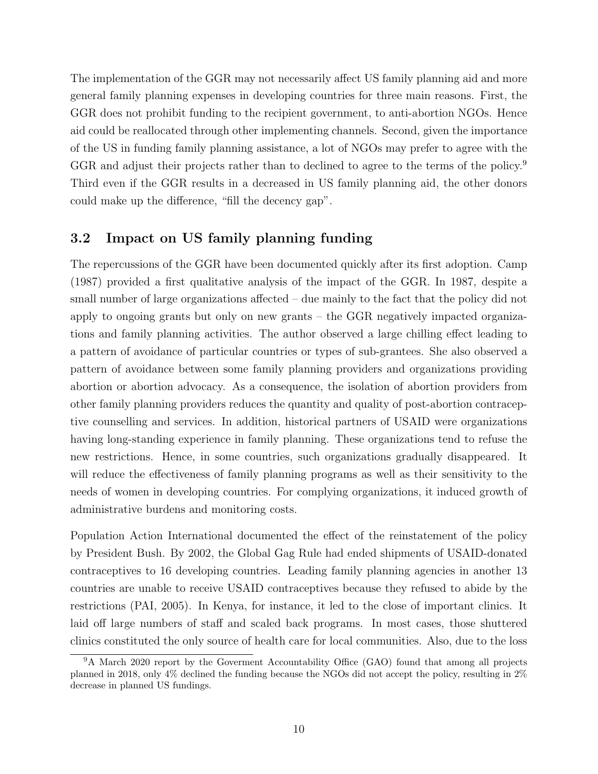The implementation of the GGR may not necessarily affect US family planning aid and more general family planning expenses in developing countries for three main reasons. First, the GGR does not prohibit funding to the recipient government, to anti-abortion NGOs. Hence aid could be reallocated through other implementing channels. Second, given the importance of the US in funding family planning assistance, a lot of NGOs may prefer to agree with the GGR and adjust their projects rather than to declined to agree to the terms of the policy.<sup>9</sup> Third even if the GGR results in a decreased in US family planning aid, the other donors could make up the difference, "fill the decency gap".

## 3.2 Impact on US family planning funding

The repercussions of the GGR have been documented quickly after its first adoption. Camp (1987) provided a first qualitative analysis of the impact of the GGR. In 1987, despite a small number of large organizations affected – due mainly to the fact that the policy did not apply to ongoing grants but only on new grants – the GGR negatively impacted organizations and family planning activities. The author observed a large chilling effect leading to a pattern of avoidance of particular countries or types of sub-grantees. She also observed a pattern of avoidance between some family planning providers and organizations providing abortion or abortion advocacy. As a consequence, the isolation of abortion providers from other family planning providers reduces the quantity and quality of post-abortion contraceptive counselling and services. In addition, historical partners of USAID were organizations having long-standing experience in family planning. These organizations tend to refuse the new restrictions. Hence, in some countries, such organizations gradually disappeared. It will reduce the effectiveness of family planning programs as well as their sensitivity to the needs of women in developing countries. For complying organizations, it induced growth of administrative burdens and monitoring costs.

Population Action International documented the effect of the reinstatement of the policy by President Bush. By 2002, the Global Gag Rule had ended shipments of USAID-donated contraceptives to 16 developing countries. Leading family planning agencies in another 13 countries are unable to receive USAID contraceptives because they refused to abide by the restrictions (PAI, 2005). In Kenya, for instance, it led to the close of important clinics. It laid off large numbers of staff and scaled back programs. In most cases, those shuttered clinics constituted the only source of health care for local communities. Also, due to the loss

<sup>&</sup>lt;sup>9</sup>A March 2020 report by the Goverment Accountability Office (GAO) found that among all projects planned in 2018, only 4% declined the funding because the NGOs did not accept the policy, resulting in 2% decrease in planned US fundings.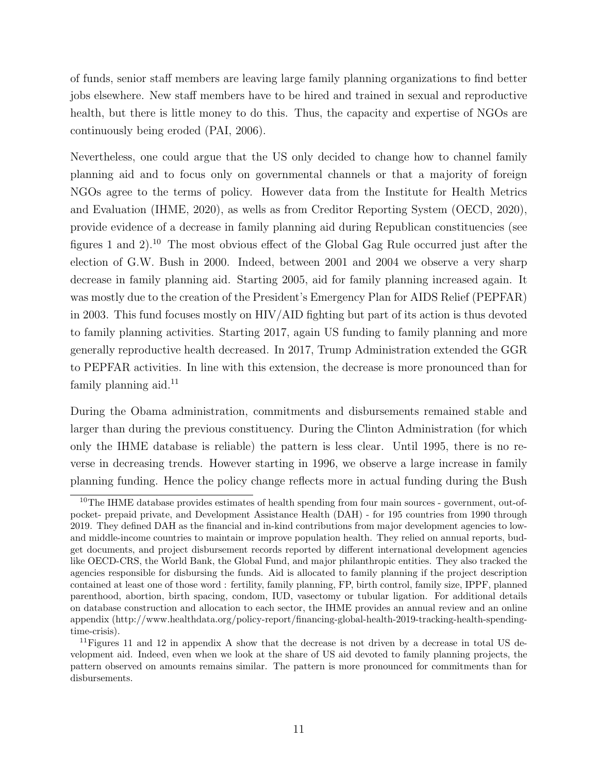of funds, senior staff members are leaving large family planning organizations to find better jobs elsewhere. New staff members have to be hired and trained in sexual and reproductive health, but there is little money to do this. Thus, the capacity and expertise of NGOs are continuously being eroded (PAI, 2006).

Nevertheless, one could argue that the US only decided to change how to channel family planning aid and to focus only on governmental channels or that a majority of foreign NGOs agree to the terms of policy. However data from the Institute for Health Metrics and Evaluation (IHME, 2020), as wells as from Creditor Reporting System (OECD, 2020), provide evidence of a decrease in family planning aid during Republican constituencies (see figures 1 and 2).<sup>10</sup> The most obvious effect of the Global Gag Rule occurred just after the election of G.W. Bush in 2000. Indeed, between 2001 and 2004 we observe a very sharp decrease in family planning aid. Starting 2005, aid for family planning increased again. It was mostly due to the creation of the President's Emergency Plan for AIDS Relief (PEPFAR) in 2003. This fund focuses mostly on HIV/AID fighting but part of its action is thus devoted to family planning activities. Starting 2017, again US funding to family planning and more generally reproductive health decreased. In 2017, Trump Administration extended the GGR to PEPFAR activities. In line with this extension, the decrease is more pronounced than for family planning aid.<sup>11</sup>

During the Obama administration, commitments and disbursements remained stable and larger than during the previous constituency. During the Clinton Administration (for which only the IHME database is reliable) the pattern is less clear. Until 1995, there is no reverse in decreasing trends. However starting in 1996, we observe a large increase in family planning funding. Hence the policy change reflects more in actual funding during the Bush

<sup>&</sup>lt;sup>10</sup>The IHME database provides estimates of health spending from four main sources - government, out-ofpocket- prepaid private, and Development Assistance Health (DAH) - for 195 countries from 1990 through 2019. They defined DAH as the financial and in-kind contributions from major development agencies to lowand middle-income countries to maintain or improve population health. They relied on annual reports, budget documents, and project disbursement records reported by different international development agencies like OECD-CRS, the World Bank, the Global Fund, and major philanthropic entities. They also tracked the agencies responsible for disbursing the funds. Aid is allocated to family planning if the project description contained at least one of those word : fertility, family planning, FP, birth control, family size, IPPF, planned parenthood, abortion, birth spacing, condom, IUD, vasectomy or tubular ligation. For additional details on database construction and allocation to each sector, the IHME provides an annual review and an online appendix (http://www.healthdata.org/policy-report/financing-global-health-2019-tracking-health-spendingtime-crisis).

<sup>&</sup>lt;sup>11</sup>Figures 11 and 12 in appendix A show that the decrease is not driven by a decrease in total US development aid. Indeed, even when we look at the share of US aid devoted to family planning projects, the pattern observed on amounts remains similar. The pattern is more pronounced for commitments than for disbursements.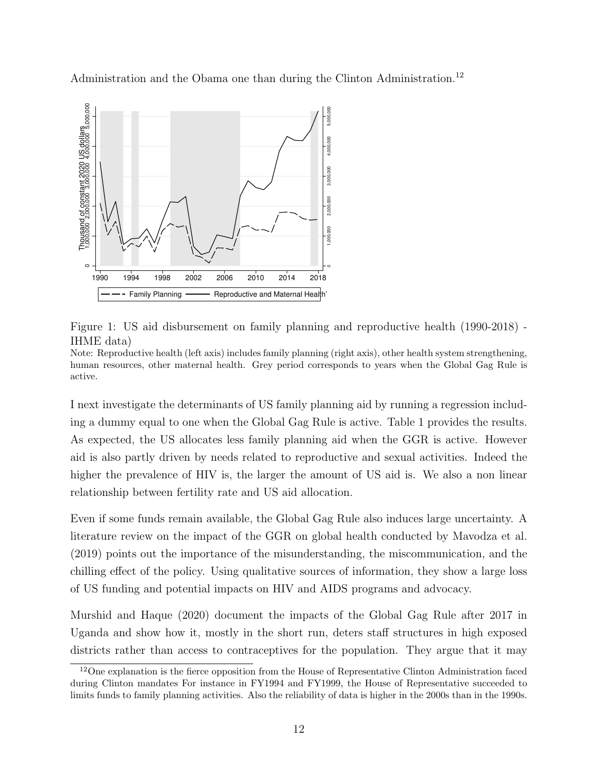Administration and the Obama one than during the Clinton Administration.<sup>12</sup>



Figure 1: US aid disbursement on family planning and reproductive health (1990-2018) - IHME data)

Note: Reproductive health (left axis) includes family planning (right axis), other health system strengthening, human resources, other maternal health. Grey period corresponds to years when the Global Gag Rule is active.

I next investigate the determinants of US family planning aid by running a regression including a dummy equal to one when the Global Gag Rule is active. Table 1 provides the results. As expected, the US allocates less family planning aid when the GGR is active. However aid is also partly driven by needs related to reproductive and sexual activities. Indeed the higher the prevalence of HIV is, the larger the amount of US aid is. We also a non linear relationship between fertility rate and US aid allocation.

Even if some funds remain available, the Global Gag Rule also induces large uncertainty. A literature review on the impact of the GGR on global health conducted by Mavodza et al. (2019) points out the importance of the misunderstanding, the miscommunication, and the chilling effect of the policy. Using qualitative sources of information, they show a large loss of US funding and potential impacts on HIV and AIDS programs and advocacy.

Murshid and Haque (2020) document the impacts of the Global Gag Rule after 2017 in Uganda and show how it, mostly in the short run, deters staff structures in high exposed districts rather than access to contraceptives for the population. They argue that it may

<sup>12</sup>One explanation is the fierce opposition from the House of Representative Clinton Administration faced during Clinton mandates For instance in FY1994 and FY1999, the House of Representative succeeded to limits funds to family planning activities. Also the reliability of data is higher in the 2000s than in the 1990s.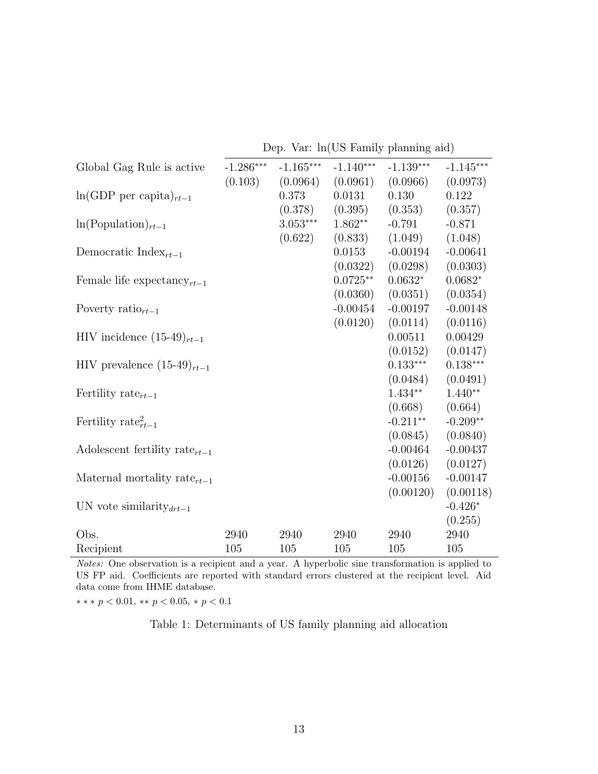Dep. Var: ln(US Family planning aid)

| Global Gag Rule is active                     | $-1.286***$ | $-1.165***$ | $-1.140***$ | $-1.139***$ | $-1.145***$ |
|-----------------------------------------------|-------------|-------------|-------------|-------------|-------------|
|                                               | (0.103)     | (0.0964)    | (0.0961)    | (0.0966)    | (0.0973)    |
| $\ln(\text{GDP per capita})_{rt-1}$           |             | 0.373       | 0.0131      | 0.130       | 0.122       |
|                                               |             | (0.378)     | (0.395)     | (0.353)     | (0.357)     |
| $\ln(Population)_{rt-1}$                      |             | $3.053***$  | $1.862**$   | $-0.791$    | $-0.871$    |
|                                               |             | (0.622)     | (0.833)     | (1.049)     | (1.048)     |
| Democratic Index <sub><math>rt-1</math></sub> |             |             | 0.0153      | $-0.00194$  | $-0.00641$  |
|                                               |             |             | (0.0322)    | (0.0298)    | (0.0303)    |
| Female life expectancy $_{rt-1}$              |             |             | $0.0725**$  | $0.0632*$   | $0.0682*$   |
|                                               |             |             | (0.0360)    | (0.0351)    | (0.0354)    |
| Poverty ratio $_{rt-1}$                       |             |             | $-0.00454$  | $-0.00197$  | $-0.00148$  |
|                                               |             |             | (0.0120)    | (0.0114)    | (0.0116)    |
| HIV incidence $(15-49)_{rt-1}$                |             |             |             | 0.00511     | 0.00429     |
|                                               |             |             |             | (0.0152)    | (0.0147)    |
| HIV prevalence $(15-49)_{rt-1}$               |             |             |             | $0.133***$  | $0.138***$  |
|                                               |             |             |             | (0.0484)    | (0.0491)    |
| Fertility rate <sub><math>rt-1</math></sub>   |             |             |             | $1.434**$   | $1.440**$   |
|                                               |             |             |             | (0.668)     | (0.664)     |
| Fertility rate $_{rt-1}^2$                    |             |             |             | $-0.211**$  | $-0.209**$  |
|                                               |             |             |             | (0.0845)    | (0.0840)    |
| Adolescent fertility rate <sub>rt-1</sub>     |             |             |             | $-0.00464$  | $-0.00437$  |
|                                               |             |             |             | (0.0126)    | (0.0127)    |
| Maternal mortality rate $_{rt-1}$             |             |             |             | $-0.00156$  | $-0.00147$  |
|                                               |             |             |             | (0.00120)   | (0.00118)   |
| UN vote similarity $_{drt-1}$                 |             |             |             |             | $-0.426*$   |
|                                               |             |             |             |             | (0.255)     |
| Obs.                                          | 2940        | 2940        | 2940        | 2940        | 2940        |
| Recipient                                     | 105         | 105         | 105         | 105         | 105         |

Notes: One observation is a recipient and a year. A hyperbolic sine transformation is applied to US FP aid. Coefficients are reported with standard errors clustered at the recipient level. Aid data come from IHME database.

 $*** p < 0.01, ** p < 0.05, * p < 0.1$ 

Table 1: Determinants of US family planning aid allocation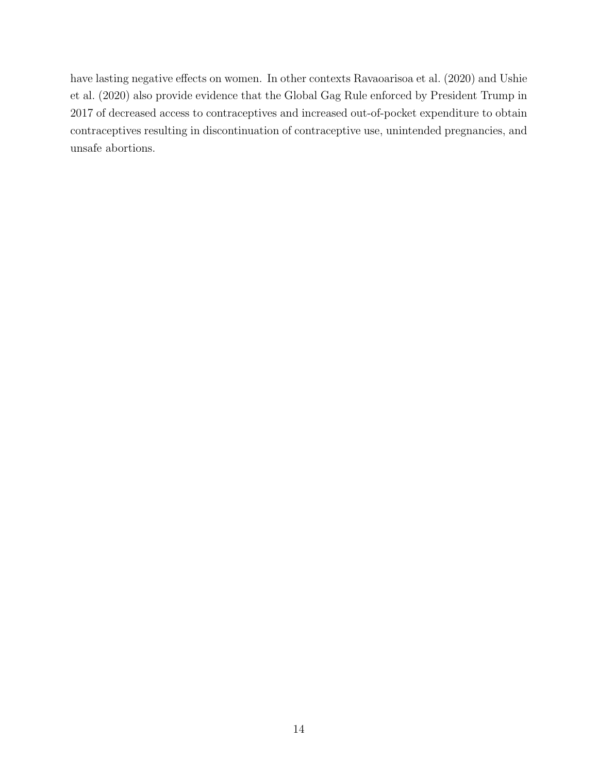have lasting negative effects on women. In other contexts Ravaoarisoa et al. (2020) and Ushie et al. (2020) also provide evidence that the Global Gag Rule enforced by President Trump in 2017 of decreased access to contraceptives and increased out-of-pocket expenditure to obtain contraceptives resulting in discontinuation of contraceptive use, unintended pregnancies, and unsafe abortions.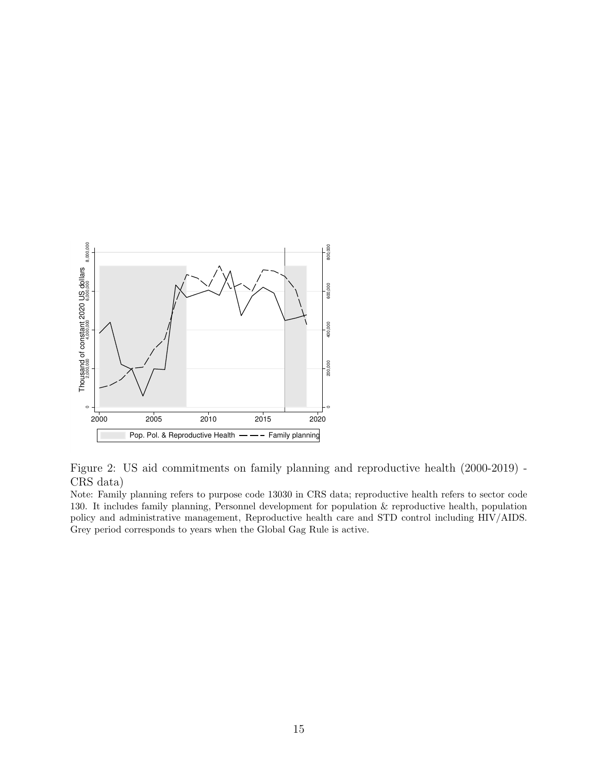

Figure 2: US aid commitments on family planning and reproductive health (2000-2019) - CRS data)

Note: Family planning refers to purpose code 13030 in CRS data; reproductive health refers to sector code 130. It includes family planning, Personnel development for population & reproductive health, population policy and administrative management, Reproductive health care and STD control including HIV/AIDS. Grey period corresponds to years when the Global Gag Rule is active.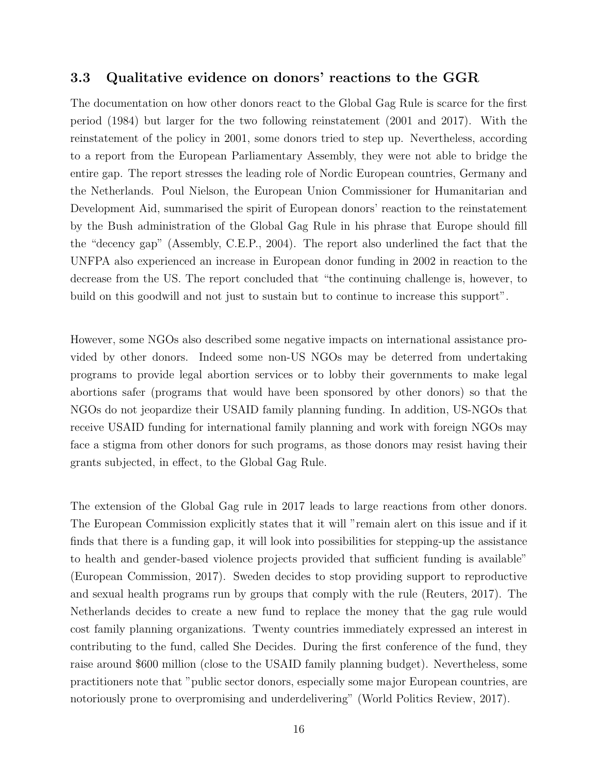#### 3.3 Qualitative evidence on donors' reactions to the GGR

The documentation on how other donors react to the Global Gag Rule is scarce for the first period (1984) but larger for the two following reinstatement (2001 and 2017). With the reinstatement of the policy in 2001, some donors tried to step up. Nevertheless, according to a report from the European Parliamentary Assembly, they were not able to bridge the entire gap. The report stresses the leading role of Nordic European countries, Germany and the Netherlands. Poul Nielson, the European Union Commissioner for Humanitarian and Development Aid, summarised the spirit of European donors' reaction to the reinstatement by the Bush administration of the Global Gag Rule in his phrase that Europe should fill the "decency gap" (Assembly, C.E.P., 2004). The report also underlined the fact that the UNFPA also experienced an increase in European donor funding in 2002 in reaction to the decrease from the US. The report concluded that "the continuing challenge is, however, to build on this goodwill and not just to sustain but to continue to increase this support".

However, some NGOs also described some negative impacts on international assistance provided by other donors. Indeed some non-US NGOs may be deterred from undertaking programs to provide legal abortion services or to lobby their governments to make legal abortions safer (programs that would have been sponsored by other donors) so that the NGOs do not jeopardize their USAID family planning funding. In addition, US-NGOs that receive USAID funding for international family planning and work with foreign NGOs may face a stigma from other donors for such programs, as those donors may resist having their grants subjected, in effect, to the Global Gag Rule.

The extension of the Global Gag rule in 2017 leads to large reactions from other donors. The European Commission explicitly states that it will "remain alert on this issue and if it finds that there is a funding gap, it will look into possibilities for stepping-up the assistance to health and gender-based violence projects provided that sufficient funding is available" (European Commission, 2017). Sweden decides to stop providing support to reproductive and sexual health programs run by groups that comply with the rule (Reuters, 2017). The Netherlands decides to create a new fund to replace the money that the gag rule would cost family planning organizations. Twenty countries immediately expressed an interest in contributing to the fund, called She Decides. During the first conference of the fund, they raise around \$600 million (close to the USAID family planning budget). Nevertheless, some practitioners note that "public sector donors, especially some major European countries, are notoriously prone to overpromising and underdelivering" (World Politics Review, 2017).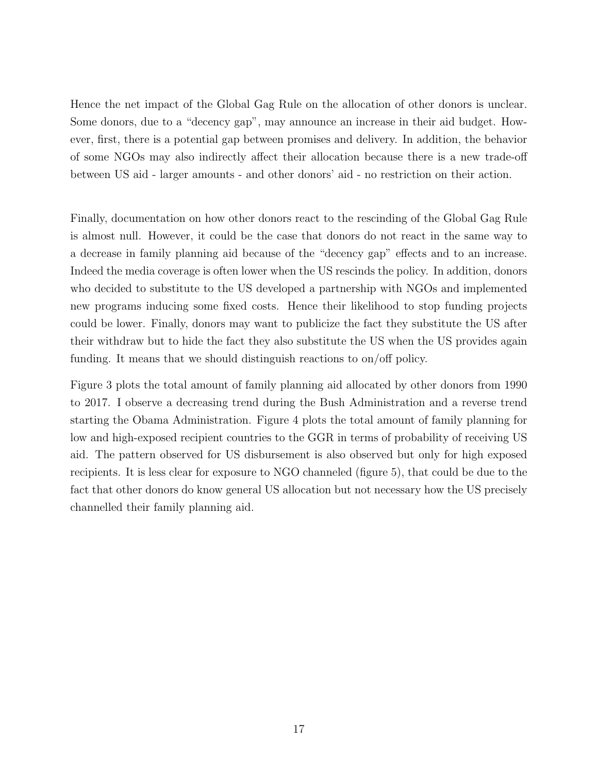Hence the net impact of the Global Gag Rule on the allocation of other donors is unclear. Some donors, due to a "decency gap", may announce an increase in their aid budget. However, first, there is a potential gap between promises and delivery. In addition, the behavior of some NGOs may also indirectly affect their allocation because there is a new trade-off between US aid - larger amounts - and other donors' aid - no restriction on their action.

Finally, documentation on how other donors react to the rescinding of the Global Gag Rule is almost null. However, it could be the case that donors do not react in the same way to a decrease in family planning aid because of the "decency gap" effects and to an increase. Indeed the media coverage is often lower when the US rescinds the policy. In addition, donors who decided to substitute to the US developed a partnership with NGOs and implemented new programs inducing some fixed costs. Hence their likelihood to stop funding projects could be lower. Finally, donors may want to publicize the fact they substitute the US after their withdraw but to hide the fact they also substitute the US when the US provides again funding. It means that we should distinguish reactions to on/off policy.

Figure 3 plots the total amount of family planning aid allocated by other donors from 1990 to 2017. I observe a decreasing trend during the Bush Administration and a reverse trend starting the Obama Administration. Figure 4 plots the total amount of family planning for low and high-exposed recipient countries to the GGR in terms of probability of receiving US aid. The pattern observed for US disbursement is also observed but only for high exposed recipients. It is less clear for exposure to NGO channeled (figure 5), that could be due to the fact that other donors do know general US allocation but not necessary how the US precisely channelled their family planning aid.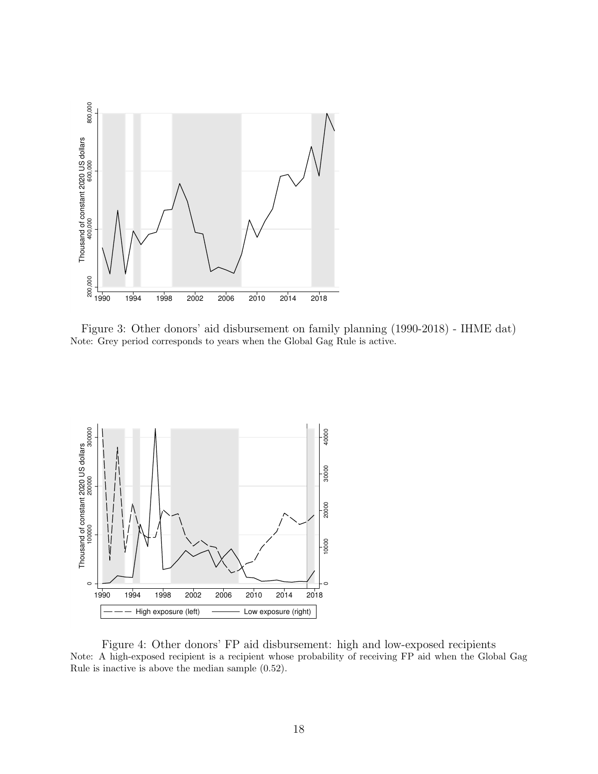

Figure 3: Other donors' aid disbursement on family planning (1990-2018) - IHME dat) Note: Grey period corresponds to years when the Global Gag Rule is active.



Figure 4: Other donors' FP aid disbursement: high and low-exposed recipients Note: A high-exposed recipient is a recipient whose probability of receiving FP aid when the Global Gag Rule is inactive is above the median sample (0.52).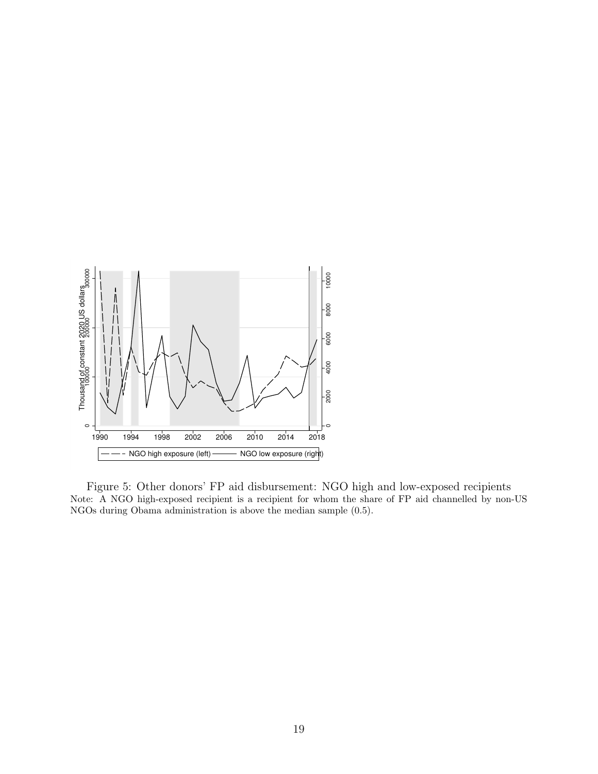

Figure 5: Other donors' FP aid disbursement: NGO high and low-exposed recipients Note: A NGO high-exposed recipient is a recipient for whom the share of FP aid channelled by non-US NGOs during Obama administration is above the median sample (0.5).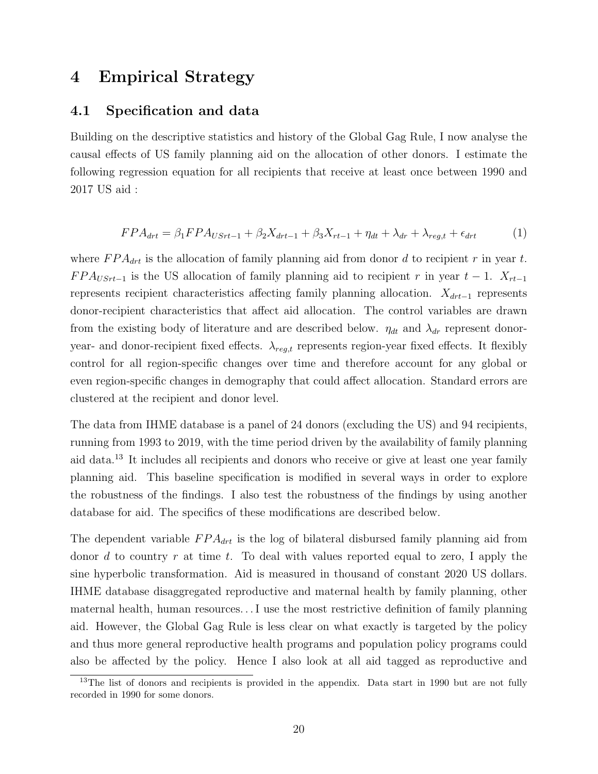## 4 Empirical Strategy

#### 4.1 Specification and data

Building on the descriptive statistics and history of the Global Gag Rule, I now analyse the causal effects of US family planning aid on the allocation of other donors. I estimate the following regression equation for all recipients that receive at least once between 1990 and 2017 US aid :

$$
FPA_{drt} = \beta_1 FPA_{USrt-1} + \beta_2 X_{drt-1} + \beta_3 X_{rt-1} + \eta_{dt} + \lambda_{dr} + \lambda_{reg,t} + \epsilon_{drt}
$$
 (1)

where  $FPA_{drt}$  is the allocation of family planning aid from donor d to recipient r in year t.  $FPA_{USrt-1}$  is the US allocation of family planning aid to recipient r in year  $t-1$ .  $X_{rt-1}$ represents recipient characteristics affecting family planning allocation.  $X_{drt-1}$  represents donor-recipient characteristics that affect aid allocation. The control variables are drawn from the existing body of literature and are described below.  $\eta_{dt}$  and  $\lambda_{dr}$  represent donoryear- and donor-recipient fixed effects.  $\lambda_{reg,t}$  represents region-year fixed effects. It flexibly control for all region-specific changes over time and therefore account for any global or even region-specific changes in demography that could affect allocation. Standard errors are clustered at the recipient and donor level.

The data from IHME database is a panel of 24 donors (excluding the US) and 94 recipients, running from 1993 to 2019, with the time period driven by the availability of family planning aid data.<sup>13</sup> It includes all recipients and donors who receive or give at least one year family planning aid. This baseline specification is modified in several ways in order to explore the robustness of the findings. I also test the robustness of the findings by using another database for aid. The specifics of these modifications are described below.

The dependent variable  $FPA_{drt}$  is the log of bilateral disbursed family planning aid from donor d to country r at time t. To deal with values reported equal to zero, I apply the sine hyperbolic transformation. Aid is measured in thousand of constant 2020 US dollars. IHME database disaggregated reproductive and maternal health by family planning, other maternal health, human resources. . . I use the most restrictive definition of family planning aid. However, the Global Gag Rule is less clear on what exactly is targeted by the policy and thus more general reproductive health programs and population policy programs could also be affected by the policy. Hence I also look at all aid tagged as reproductive and

<sup>&</sup>lt;sup>13</sup>The list of donors and recipients is provided in the appendix. Data start in 1990 but are not fully recorded in 1990 for some donors.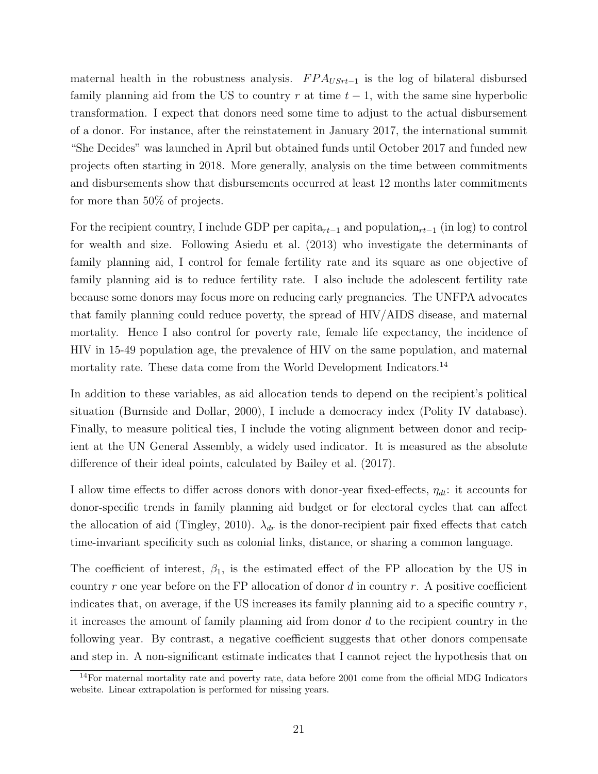maternal health in the robustness analysis.  $FPA_{USrt-1}$  is the log of bilateral disbursed family planning aid from the US to country r at time  $t - 1$ , with the same sine hyperbolic transformation. I expect that donors need some time to adjust to the actual disbursement of a donor. For instance, after the reinstatement in January 2017, the international summit "She Decides" was launched in April but obtained funds until October 2017 and funded new projects often starting in 2018. More generally, analysis on the time between commitments and disbursements show that disbursements occurred at least 12 months later commitments for more than 50% of projects.

For the recipient country, I include GDP per capita<sub>rt−1</sub> and population<sub>rt−1</sub> (in log) to control for wealth and size. Following Asiedu et al. (2013) who investigate the determinants of family planning aid, I control for female fertility rate and its square as one objective of family planning aid is to reduce fertility rate. I also include the adolescent fertility rate because some donors may focus more on reducing early pregnancies. The UNFPA advocates that family planning could reduce poverty, the spread of HIV/AIDS disease, and maternal mortality. Hence I also control for poverty rate, female life expectancy, the incidence of HIV in 15-49 population age, the prevalence of HIV on the same population, and maternal mortality rate. These data come from the World Development Indicators.<sup>14</sup>

In addition to these variables, as aid allocation tends to depend on the recipient's political situation (Burnside and Dollar, 2000), I include a democracy index (Polity IV database). Finally, to measure political ties, I include the voting alignment between donor and recipient at the UN General Assembly, a widely used indicator. It is measured as the absolute difference of their ideal points, calculated by Bailey et al. (2017).

I allow time effects to differ across donors with donor-year fixed-effects,  $\eta_{dt}$ : it accounts for donor-specific trends in family planning aid budget or for electoral cycles that can affect the allocation of aid (Tingley, 2010).  $\lambda_{dr}$  is the donor-recipient pair fixed effects that catch time-invariant specificity such as colonial links, distance, or sharing a common language.

The coefficient of interest,  $\beta_1$ , is the estimated effect of the FP allocation by the US in country r one year before on the FP allocation of donor d in country r. A positive coefficient indicates that, on average, if the US increases its family planning aid to a specific country  $r$ , it increases the amount of family planning aid from donor  $d$  to the recipient country in the following year. By contrast, a negative coefficient suggests that other donors compensate and step in. A non-significant estimate indicates that I cannot reject the hypothesis that on

<sup>&</sup>lt;sup>14</sup>For maternal mortality rate and poverty rate, data before 2001 come from the official MDG Indicators website. Linear extrapolation is performed for missing years.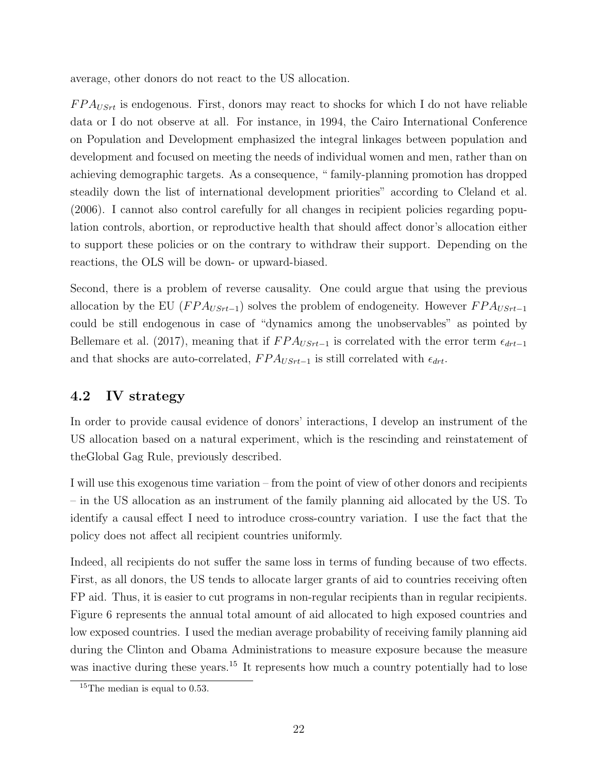average, other donors do not react to the US allocation.

 $FPA_{USrt}$  is endogenous. First, donors may react to shocks for which I do not have reliable data or I do not observe at all. For instance, in 1994, the Cairo International Conference on Population and Development emphasized the integral linkages between population and development and focused on meeting the needs of individual women and men, rather than on achieving demographic targets. As a consequence, " family-planning promotion has dropped steadily down the list of international development priorities" according to Cleland et al. (2006). I cannot also control carefully for all changes in recipient policies regarding population controls, abortion, or reproductive health that should affect donor's allocation either to support these policies or on the contrary to withdraw their support. Depending on the reactions, the OLS will be down- or upward-biased.

Second, there is a problem of reverse causality. One could argue that using the previous allocation by the EU ( $FPA_{USrt-1}$ ) solves the problem of endogeneity. However  $FPA_{USrt-1}$ could be still endogenous in case of "dynamics among the unobservables" as pointed by Bellemare et al. (2017), meaning that if  $FPA_{USrt-1}$  is correlated with the error term  $\epsilon_{drt-1}$ and that shocks are auto-correlated,  $FPA_{USrt-1}$  is still correlated with  $\epsilon_{drt}$ .

## 4.2 IV strategy

In order to provide causal evidence of donors' interactions, I develop an instrument of the US allocation based on a natural experiment, which is the rescinding and reinstatement of theGlobal Gag Rule, previously described.

I will use this exogenous time variation – from the point of view of other donors and recipients – in the US allocation as an instrument of the family planning aid allocated by the US. To identify a causal effect I need to introduce cross-country variation. I use the fact that the policy does not affect all recipient countries uniformly.

Indeed, all recipients do not suffer the same loss in terms of funding because of two effects. First, as all donors, the US tends to allocate larger grants of aid to countries receiving often FP aid. Thus, it is easier to cut programs in non-regular recipients than in regular recipients. Figure 6 represents the annual total amount of aid allocated to high exposed countries and low exposed countries. I used the median average probability of receiving family planning aid during the Clinton and Obama Administrations to measure exposure because the measure was inactive during these years.<sup>15</sup> It represents how much a country potentially had to lose

<sup>&</sup>lt;sup>15</sup>The median is equal to 0.53.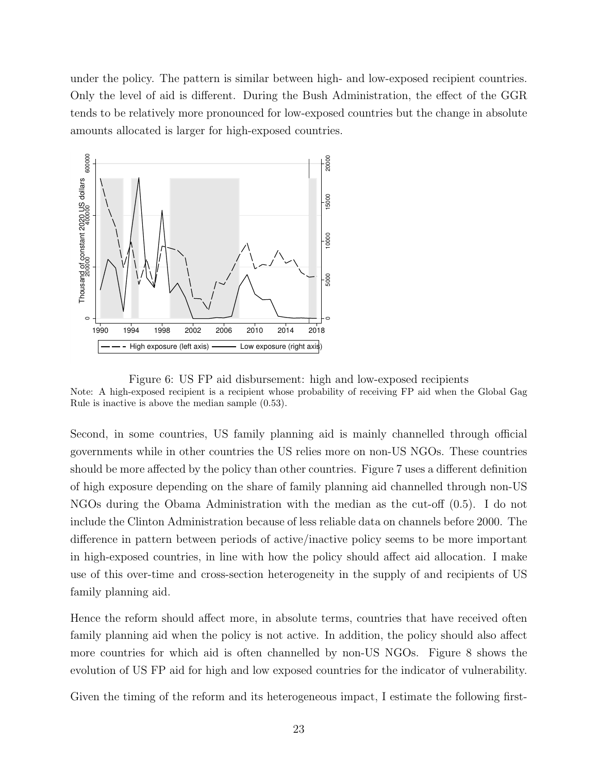under the policy. The pattern is similar between high- and low-exposed recipient countries. Only the level of aid is different. During the Bush Administration, the effect of the GGR tends to be relatively more pronounced for low-exposed countries but the change in absolute amounts allocated is larger for high-exposed countries.



Figure 6: US FP aid disbursement: high and low-exposed recipients Note: A high-exposed recipient is a recipient whose probability of receiving FP aid when the Global Gag Rule is inactive is above the median sample (0.53).

Second, in some countries, US family planning aid is mainly channelled through official governments while in other countries the US relies more on non-US NGOs. These countries should be more affected by the policy than other countries. Figure 7 uses a different definition of high exposure depending on the share of family planning aid channelled through non-US NGOs during the Obama Administration with the median as the cut-off (0.5). I do not include the Clinton Administration because of less reliable data on channels before 2000. The difference in pattern between periods of active/inactive policy seems to be more important in high-exposed countries, in line with how the policy should affect aid allocation. I make use of this over-time and cross-section heterogeneity in the supply of and recipients of US family planning aid.

Hence the reform should affect more, in absolute terms, countries that have received often family planning aid when the policy is not active. In addition, the policy should also affect more countries for which aid is often channelled by non-US NGOs. Figure 8 shows the evolution of US FP aid for high and low exposed countries for the indicator of vulnerability.

Given the timing of the reform and its heterogeneous impact, I estimate the following first-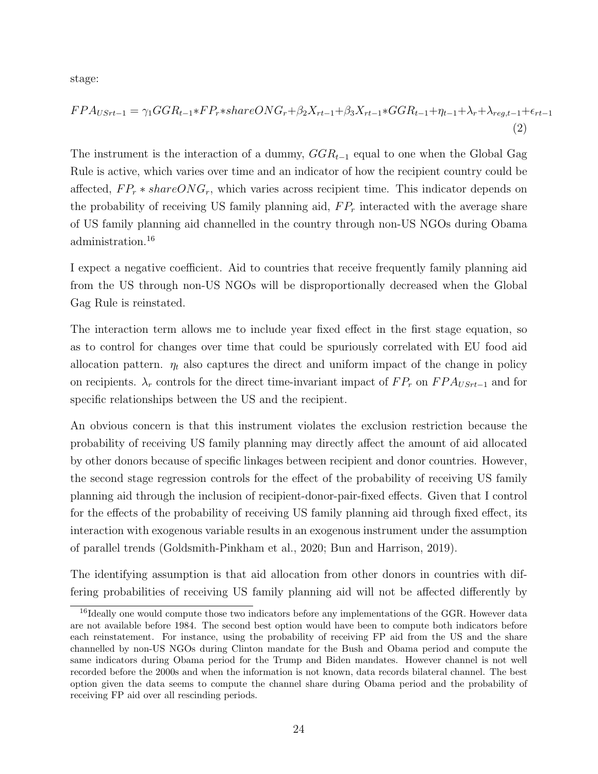stage:

$$
FPA_{USrt-1} = \gamma_1 GGR_{t-1} * FP_{r} * shareONG_r + \beta_2 X_{rt-1} + \beta_3 X_{rt-1} * GGR_{t-1} + \eta_{t-1} + \lambda_r + \lambda_{reg,t-1} + \epsilon_{rt-1}
$$
\n(2)

The instrument is the interaction of a dummy,  $GGR_{t-1}$  equal to one when the Global Gag Rule is active, which varies over time and an indicator of how the recipient country could be affected,  $FP_r * shareONG_r$ , which varies across recipient time. This indicator depends on the probability of receiving US family planning aid,  $FP<sub>r</sub>$  interacted with the average share of US family planning aid channelled in the country through non-US NGOs during Obama administration.<sup>16</sup>

I expect a negative coefficient. Aid to countries that receive frequently family planning aid from the US through non-US NGOs will be disproportionally decreased when the Global Gag Rule is reinstated.

The interaction term allows me to include year fixed effect in the first stage equation, so as to control for changes over time that could be spuriously correlated with EU food aid allocation pattern.  $\eta_t$  also captures the direct and uniform impact of the change in policy on recipients.  $\lambda_r$  controls for the direct time-invariant impact of  $FP_r$  on  $FPA_{USrt-1}$  and for specific relationships between the US and the recipient.

An obvious concern is that this instrument violates the exclusion restriction because the probability of receiving US family planning may directly affect the amount of aid allocated by other donors because of specific linkages between recipient and donor countries. However, the second stage regression controls for the effect of the probability of receiving US family planning aid through the inclusion of recipient-donor-pair-fixed effects. Given that I control for the effects of the probability of receiving US family planning aid through fixed effect, its interaction with exogenous variable results in an exogenous instrument under the assumption of parallel trends (Goldsmith-Pinkham et al., 2020; Bun and Harrison, 2019).

The identifying assumption is that aid allocation from other donors in countries with differing probabilities of receiving US family planning aid will not be affected differently by

<sup>&</sup>lt;sup>16</sup>Ideally one would compute those two indicators before any implementations of the GGR. However data are not available before 1984. The second best option would have been to compute both indicators before each reinstatement. For instance, using the probability of receiving FP aid from the US and the share channelled by non-US NGOs during Clinton mandate for the Bush and Obama period and compute the same indicators during Obama period for the Trump and Biden mandates. However channel is not well recorded before the 2000s and when the information is not known, data records bilateral channel. The best option given the data seems to compute the channel share during Obama period and the probability of receiving FP aid over all rescinding periods.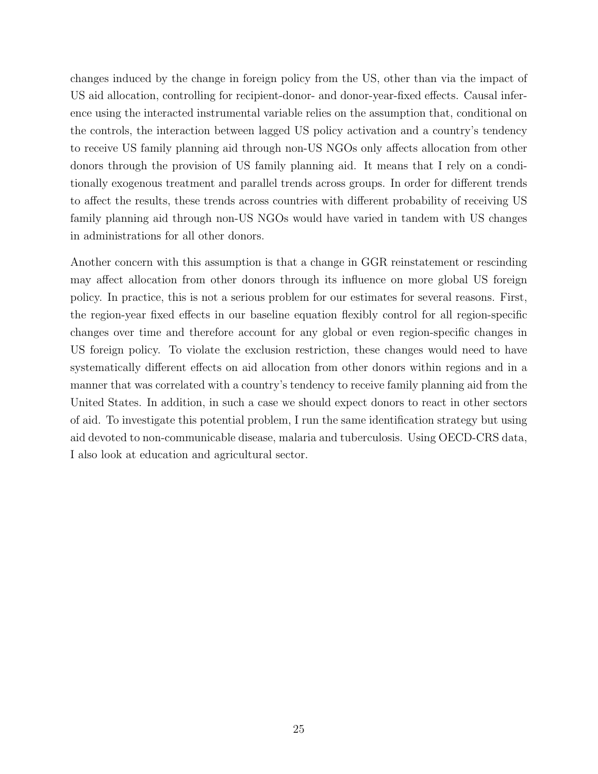changes induced by the change in foreign policy from the US, other than via the impact of US aid allocation, controlling for recipient-donor- and donor-year-fixed effects. Causal inference using the interacted instrumental variable relies on the assumption that, conditional on the controls, the interaction between lagged US policy activation and a country's tendency to receive US family planning aid through non-US NGOs only affects allocation from other donors through the provision of US family planning aid. It means that I rely on a conditionally exogenous treatment and parallel trends across groups. In order for different trends to affect the results, these trends across countries with different probability of receiving US family planning aid through non-US NGOs would have varied in tandem with US changes in administrations for all other donors.

Another concern with this assumption is that a change in GGR reinstatement or rescinding may affect allocation from other donors through its influence on more global US foreign policy. In practice, this is not a serious problem for our estimates for several reasons. First, the region-year fixed effects in our baseline equation flexibly control for all region-specific changes over time and therefore account for any global or even region-specific changes in US foreign policy. To violate the exclusion restriction, these changes would need to have systematically different effects on aid allocation from other donors within regions and in a manner that was correlated with a country's tendency to receive family planning aid from the United States. In addition, in such a case we should expect donors to react in other sectors of aid. To investigate this potential problem, I run the same identification strategy but using aid devoted to non-communicable disease, malaria and tuberculosis. Using OECD-CRS data, I also look at education and agricultural sector.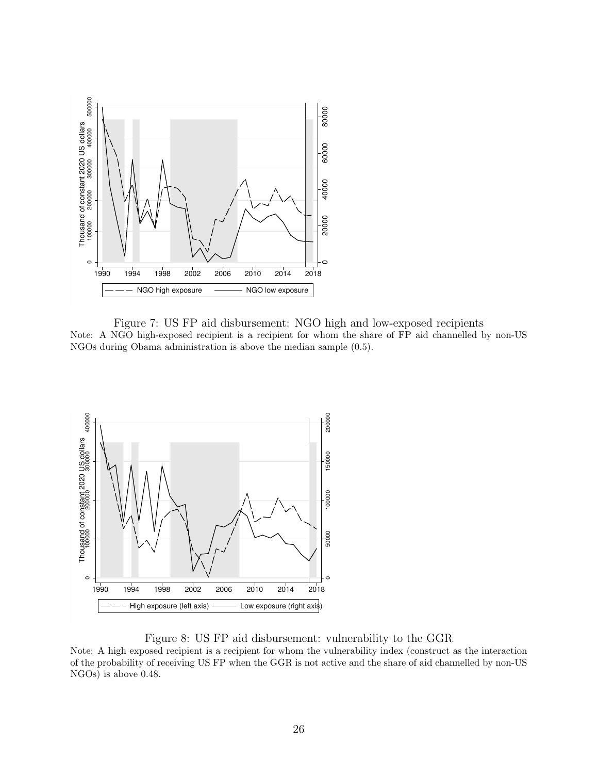

Figure 7: US FP aid disbursement: NGO high and low-exposed recipients Note: A NGO high-exposed recipient is a recipient for whom the share of FP aid channelled by non-US NGOs during Obama administration is above the median sample (0.5).



Figure 8: US FP aid disbursement: vulnerability to the GGR

Note: A high exposed recipient is a recipient for whom the vulnerability index (construct as the interaction of the probability of receiving US FP when the GGR is not active and the share of aid channelled by non-US NGOs) is above 0.48.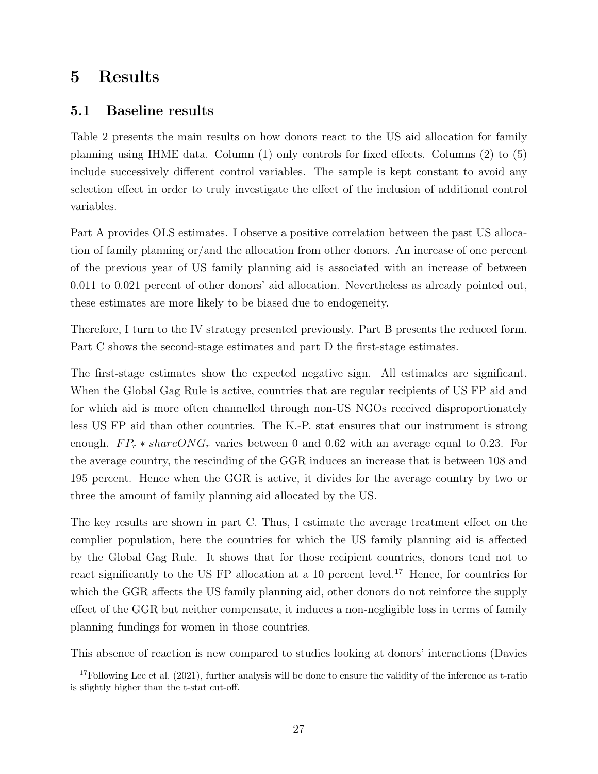# 5 Results

## 5.1 Baseline results

Table 2 presents the main results on how donors react to the US aid allocation for family planning using IHME data. Column (1) only controls for fixed effects. Columns (2) to (5) include successively different control variables. The sample is kept constant to avoid any selection effect in order to truly investigate the effect of the inclusion of additional control variables.

Part A provides OLS estimates. I observe a positive correlation between the past US allocation of family planning or/and the allocation from other donors. An increase of one percent of the previous year of US family planning aid is associated with an increase of between 0.011 to 0.021 percent of other donors' aid allocation. Nevertheless as already pointed out, these estimates are more likely to be biased due to endogeneity.

Therefore, I turn to the IV strategy presented previously. Part B presents the reduced form. Part C shows the second-stage estimates and part D the first-stage estimates.

The first-stage estimates show the expected negative sign. All estimates are significant. When the Global Gag Rule is active, countries that are regular recipients of US FP aid and for which aid is more often channelled through non-US NGOs received disproportionately less US FP aid than other countries. The K.-P. stat ensures that our instrument is strong enough.  $FP_r * shareONG_r$  varies between 0 and 0.62 with an average equal to 0.23. For the average country, the rescinding of the GGR induces an increase that is between 108 and 195 percent. Hence when the GGR is active, it divides for the average country by two or three the amount of family planning aid allocated by the US.

The key results are shown in part C. Thus, I estimate the average treatment effect on the complier population, here the countries for which the US family planning aid is affected by the Global Gag Rule. It shows that for those recipient countries, donors tend not to react significantly to the US FP allocation at a 10 percent level.<sup>17</sup> Hence, for countries for which the GGR affects the US family planning aid, other donors do not reinforce the supply effect of the GGR but neither compensate, it induces a non-negligible loss in terms of family planning fundings for women in those countries.

This absence of reaction is new compared to studies looking at donors' interactions (Davies

<sup>&</sup>lt;sup>17</sup>Following Lee et al. (2021), further analysis will be done to ensure the validity of the inference as t-ratio is slightly higher than the t-stat cut-off.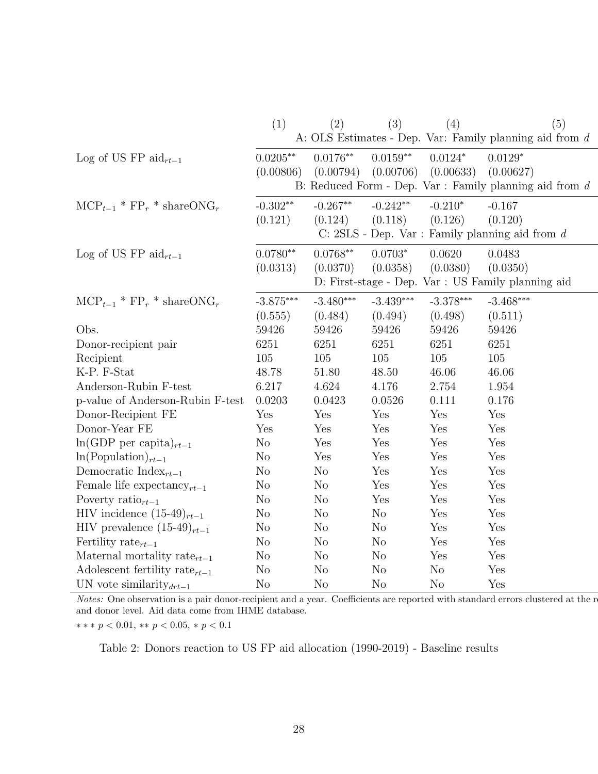|                                                             | (1)            | (2)            | (3)            | (4)            | (5)                                                       |
|-------------------------------------------------------------|----------------|----------------|----------------|----------------|-----------------------------------------------------------|
|                                                             |                |                |                |                | A: OLS Estimates - Dep. Var: Family planning aid from $d$ |
| Log of US FP $\text{aid}_{rt-1}$                            | $0.0205**$     | $0.0176**$     | $0.0159**$     | $0.0124*$      | $0.0129*$                                                 |
|                                                             | (0.00806)      | (0.00794)      | (0.00706)      | (0.00633)      | (0.00627)                                                 |
|                                                             |                |                |                |                | B: Reduced Form - Dep. Var : Family planning aid from $d$ |
| $\text{MCP}_{t-1}$ * $\text{FP}_r$ * share ONG <sub>r</sub> | $-0.302**$     | $-0.267**$     | $-0.242**$     | $-0.210*$      | $-0.167$                                                  |
|                                                             | (0.121)        | (0.124)        | (0.118)        | (0.126)        | (0.120)                                                   |
|                                                             |                |                |                |                | C: $2SLS$ - Dep. Var : Family planning aid from $d$       |
| Log of US FP aid <sub>rt-1</sub>                            | $0.0780**$     | $0.0768**$     | $0.0703*$      | 0.0620         | 0.0483                                                    |
|                                                             | (0.0313)       | (0.0370)       | (0.0358)       | (0.0380)       | (0.0350)                                                  |
|                                                             |                |                |                |                | D: First-stage - Dep. Var : US Family planning aid        |
| $\text{MCP}_{t-1}$ * $\text{FP}_r$ * share ONG <sub>r</sub> | $-3.875***$    | $-3.480***$    | $-3.439***$    | $-3.378***$    | $-3.468***$                                               |
|                                                             | (0.555)        | (0.484)        | (0.494)        | (0.498)        | (0.511)                                                   |
| Obs.                                                        | 59426          | 59426          | 59426          | 59426          | 59426                                                     |
| Donor-recipient pair                                        | 6251           | 6251           | 6251           | 6251           | 6251                                                      |
| Recipient                                                   | 105            | 105            | 105            | 105            | 105                                                       |
| K-P. F-Stat                                                 | 48.78          | 51.80          | 48.50          | 46.06          | 46.06                                                     |
| Anderson-Rubin F-test                                       | 6.217          | 4.624          | 4.176          | 2.754          | 1.954                                                     |
| p-value of Anderson-Rubin F-test                            | 0.0203         | 0.0423         | 0.0526         | 0.111          | 0.176                                                     |
| Donor-Recipient FE                                          | Yes            | Yes            | Yes            | Yes            | Yes                                                       |
| Donor-Year FE                                               | Yes            | Yes            | Yes            | Yes            | Yes                                                       |
| $\ln(\text{GDP per capita})_{rt-1}$                         | No             | Yes            | Yes            | Yes            | Yes                                                       |
| $\ln(\text{Population})_{rt-1}$                             | No             | Yes            | Yes            | Yes            | Yes                                                       |
| Democratic Index $_{rt-1}$                                  | No             | No             | Yes            | Yes            | Yes                                                       |
| Female life expectancy $_{rt-1}$                            | No             | No             | Yes            | Yes            | Yes                                                       |
| Poverty ratio $_{rt-1}$                                     | N <sub>o</sub> | No             | Yes            | Yes            | Yes                                                       |
| HIV incidence $(15-49)_{rt-1}$                              | No             | No             | No             | Yes            | Yes                                                       |
| HIV prevalence $(15-49)_{rt-1}$                             | No             | N <sub>o</sub> | No             | Yes            | Yes                                                       |
| Fertility rate <sub><math>rt-1</math></sub>                 | $\rm No$       | $\rm No$       | $\rm No$       | Yes            | Yes                                                       |
| Maternal mortality rate $_{rt-1}$                           | No             | N <sub>o</sub> | N <sub>o</sub> | Yes            | Yes                                                       |
| Adolescent fertility rate <sub>rt-1</sub>                   | No             | N <sub>o</sub> | N <sub>o</sub> | $\rm No$       | Yes                                                       |
| UN vote similarity $_{drt-1}$                               | N <sub>o</sub> | N <sub>o</sub> | N <sub>o</sub> | N <sub>o</sub> | Yes                                                       |

Notes: One observation is a pair donor-recipient and a year. Coefficients are reported with standard errors clustered at the r and donor level. Aid data come from IHME database.

∗ ∗ ∗ p < 0.01, ∗∗ p < 0.05, ∗ p < 0.1

Table 2: Donors reaction to US FP aid allocation (1990-2019) - Baseline results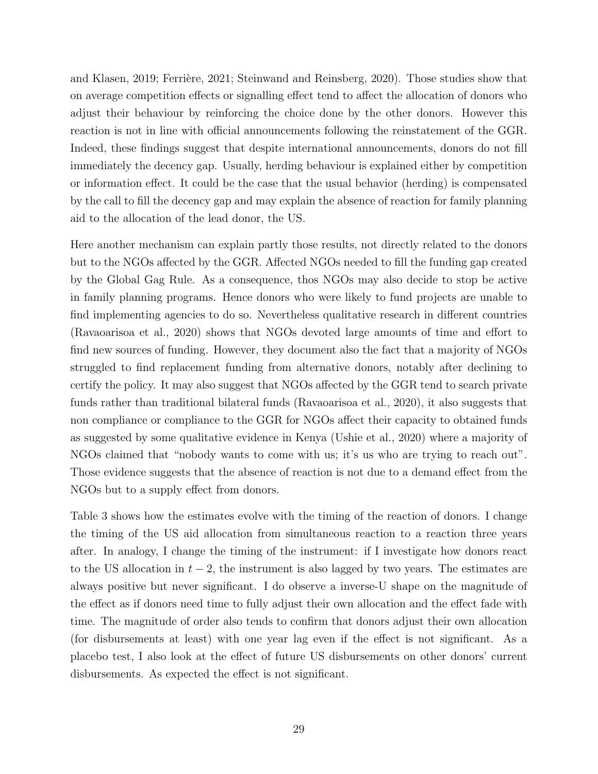and Klasen, 2019; Ferrière, 2021; Steinwand and Reinsberg, 2020). Those studies show that on average competition effects or signalling effect tend to affect the allocation of donors who adjust their behaviour by reinforcing the choice done by the other donors. However this reaction is not in line with official announcements following the reinstatement of the GGR. Indeed, these findings suggest that despite international announcements, donors do not fill immediately the decency gap. Usually, herding behaviour is explained either by competition or information effect. It could be the case that the usual behavior (herding) is compensated by the call to fill the decency gap and may explain the absence of reaction for family planning aid to the allocation of the lead donor, the US.

Here another mechanism can explain partly those results, not directly related to the donors but to the NGOs affected by the GGR. Affected NGOs needed to fill the funding gap created by the Global Gag Rule. As a consequence, thos NGOs may also decide to stop be active in family planning programs. Hence donors who were likely to fund projects are unable to find implementing agencies to do so. Nevertheless qualitative research in different countries (Ravaoarisoa et al., 2020) shows that NGOs devoted large amounts of time and effort to find new sources of funding. However, they document also the fact that a majority of NGOs struggled to find replacement funding from alternative donors, notably after declining to certify the policy. It may also suggest that NGOs affected by the GGR tend to search private funds rather than traditional bilateral funds (Ravaoarisoa et al., 2020), it also suggests that non compliance or compliance to the GGR for NGOs affect their capacity to obtained funds as suggested by some qualitative evidence in Kenya (Ushie et al., 2020) where a majority of NGOs claimed that "nobody wants to come with us; it's us who are trying to reach out". Those evidence suggests that the absence of reaction is not due to a demand effect from the NGOs but to a supply effect from donors.

Table 3 shows how the estimates evolve with the timing of the reaction of donors. I change the timing of the US aid allocation from simultaneous reaction to a reaction three years after. In analogy, I change the timing of the instrument: if I investigate how donors react to the US allocation in  $t - 2$ , the instrument is also lagged by two years. The estimates are always positive but never significant. I do observe a inverse-U shape on the magnitude of the effect as if donors need time to fully adjust their own allocation and the effect fade with time. The magnitude of order also tends to confirm that donors adjust their own allocation (for disbursements at least) with one year lag even if the effect is not significant. As a placebo test, I also look at the effect of future US disbursements on other donors' current disbursements. As expected the effect is not significant.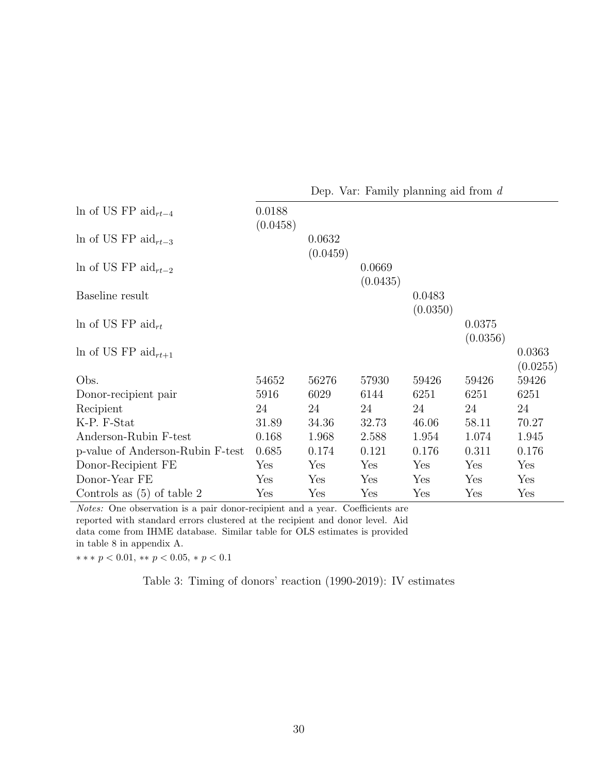|                                              |                    |                    |                    | Dep. Var: Family planning aid from $d$ |                    |                    |
|----------------------------------------------|--------------------|--------------------|--------------------|----------------------------------------|--------------------|--------------------|
| In of US FP aid <sub>rt-4</sub>              | 0.0188<br>(0.0458) |                    |                    |                                        |                    |                    |
| In of US FP aid <sub>rt-3</sub>              |                    | 0.0632<br>(0.0459) |                    |                                        |                    |                    |
| In of US FP aid <sub><math>rt-2</math></sub> |                    |                    | 0.0669<br>(0.0435) |                                        |                    |                    |
| Baseline result                              |                    |                    |                    | 0.0483<br>(0.0350)                     |                    |                    |
| In of US FP aid <sub>rt</sub>                |                    |                    |                    |                                        | 0.0375<br>(0.0356) |                    |
| In of US FP aid <sub><math>rt+1</math></sub> |                    |                    |                    |                                        |                    | 0.0363<br>(0.0255) |
| Obs.                                         | 54652              | 56276              | 57930              | 59426                                  | 59426              | 59426              |
| Donor-recipient pair                         | 5916               | 6029               | 6144               | 6251                                   | 6251               | 6251               |
| Recipient                                    | 24                 | 24                 | 24                 | 24                                     | 24                 | 24                 |
| K-P. F-Stat                                  | 31.89              | 34.36              | 32.73              | 46.06                                  | 58.11              | 70.27              |
| Anderson-Rubin F-test                        | 0.168              | 1.968              | 2.588              | 1.954                                  | 1.074              | 1.945              |
| p-value of Anderson-Rubin F-test             | 0.685              | 0.174              | 0.121              | 0.176                                  | 0.311              | 0.176              |
| Donor-Recipient FE                           | Yes                | Yes                | Yes                | Yes                                    | Yes                | Yes                |
| Donor-Year FE                                | Yes                | Yes                | Yes                | Yes                                    | Yes                | Yes                |
| Controls as $(5)$ of table 2                 | Yes                | Yes                | Yes                | Yes                                    | Yes                | Yes                |

Notes: One observation is a pair donor-recipient and a year. Coefficients are reported with standard errors clustered at the recipient and donor level. Aid data come from IHME database. Similar table for OLS estimates is provided in table 8 in appendix A.

∗ ∗ ∗ p < 0.01, ∗∗ p < 0.05, ∗ p < 0.1

Table 3: Timing of donors' reaction (1990-2019): IV estimates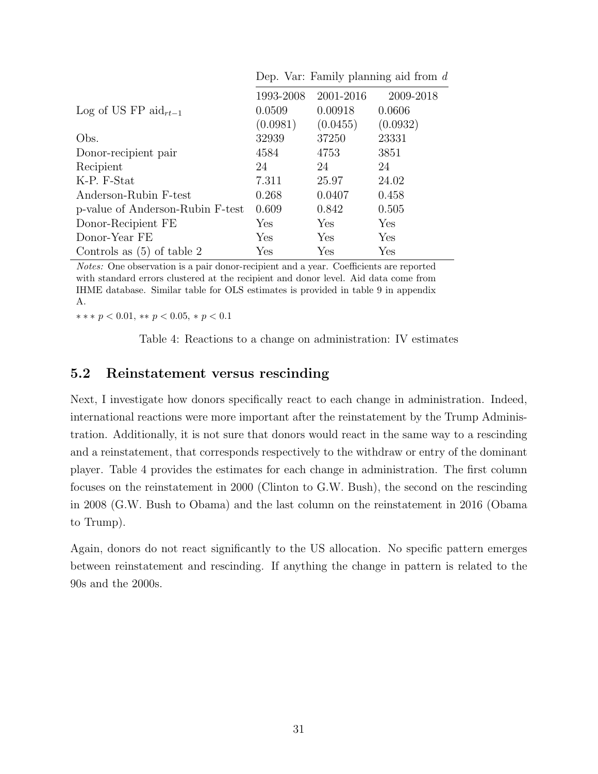|                                  | 1993-2008 | 2001-2016 | 2009-2018   |
|----------------------------------|-----------|-----------|-------------|
| Log of US FP aid <sub>rt-1</sub> | 0.0509    | 0.00918   | 0.0606      |
|                                  | (0.0981)  | (0.0455)  | (0.0932)    |
| Obs.                             | 32939     | 37250     | 23331       |
| Donor-recipient pair             | 4584      | 4753      | 3851        |
| Recipient                        | 24        | 24        | 24          |
| K-P. F-Stat                      | 7.311     | 25.97     | 24.02       |
| Anderson-Rubin F-test            | 0.268     | 0.0407    | 0.458       |
| p-value of Anderson-Rubin F-test | 0.609     | 0.842     | 0.505       |
| Donor-Recipient FE               | Yes       | Yes       | Yes         |
| Donor-Year FE                    | Yes       | Yes       | ${\rm Yes}$ |
| Controls as $(5)$ of table 2     | Yes       | Yes       | Yes         |

Dep. Var: Family planning aid from d

Notes: One observation is a pair donor-recipient and a year. Coefficients are reported with standard errors clustered at the recipient and donor level. Aid data come from IHME database. Similar table for OLS estimates is provided in table 9 in appendix A.

 $*** p < 0.01, ** p < 0.05, * p < 0.1$ 

Table 4: Reactions to a change on administration: IV estimates

#### 5.2 Reinstatement versus rescinding

Next, I investigate how donors specifically react to each change in administration. Indeed, international reactions were more important after the reinstatement by the Trump Administration. Additionally, it is not sure that donors would react in the same way to a rescinding and a reinstatement, that corresponds respectively to the withdraw or entry of the dominant player. Table 4 provides the estimates for each change in administration. The first column focuses on the reinstatement in 2000 (Clinton to G.W. Bush), the second on the rescinding in 2008 (G.W. Bush to Obama) and the last column on the reinstatement in 2016 (Obama to Trump).

Again, donors do not react significantly to the US allocation. No specific pattern emerges between reinstatement and rescinding. If anything the change in pattern is related to the 90s and the 2000s.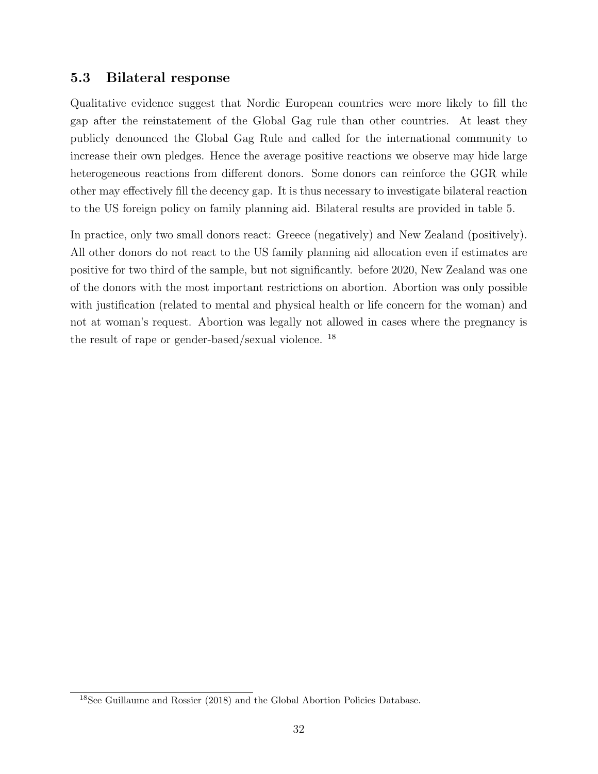### 5.3 Bilateral response

Qualitative evidence suggest that Nordic European countries were more likely to fill the gap after the reinstatement of the Global Gag rule than other countries. At least they publicly denounced the Global Gag Rule and called for the international community to increase their own pledges. Hence the average positive reactions we observe may hide large heterogeneous reactions from different donors. Some donors can reinforce the GGR while other may effectively fill the decency gap. It is thus necessary to investigate bilateral reaction to the US foreign policy on family planning aid. Bilateral results are provided in table 5.

In practice, only two small donors react: Greece (negatively) and New Zealand (positively). All other donors do not react to the US family planning aid allocation even if estimates are positive for two third of the sample, but not significantly. before 2020, New Zealand was one of the donors with the most important restrictions on abortion. Abortion was only possible with justification (related to mental and physical health or life concern for the woman) and not at woman's request. Abortion was legally not allowed in cases where the pregnancy is the result of rape or gender-based/sexual violence. <sup>18</sup>

<sup>18</sup>See Guillaume and Rossier (2018) and the Global Abortion Policies Database.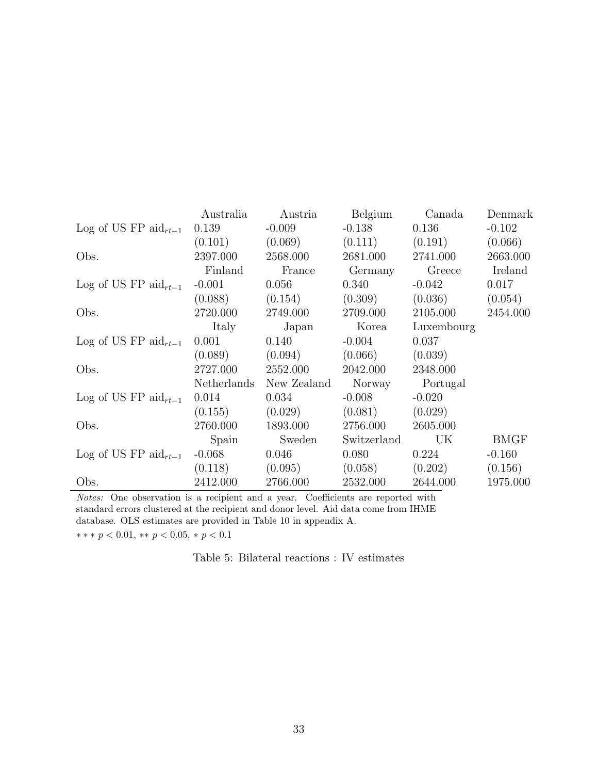|                                  | Australia   | Austria     | Belgium     | Canada     | Denmark     |
|----------------------------------|-------------|-------------|-------------|------------|-------------|
| Log of US FP $\text{aid}_{rt-1}$ | 0.139       | $-0.009$    | $-0.138$    | 0.136      | $-0.102$    |
|                                  | (0.101)     | (0.069)     | (0.111)     | (0.191)    | (0.066)     |
| Obs.                             | 2397.000    | 2568.000    | 2681.000    | 2741.000   | 2663.000    |
|                                  | Finland     | France      | Germany     | Greece     | Ireland     |
| Log of US FP aid $_{rt-1}$       | $-0.001$    | 0.056       | 0.340       | $-0.042$   | 0.017       |
|                                  | (0.088)     | (0.154)     | (0.309)     | (0.036)    | (0.054)     |
| Obs.                             | 2720.000    | 2749.000    | 2709.000    | 2105.000   | 2454.000    |
|                                  | Italy       | Japan       | Korea       | Luxembourg |             |
| Log of US FP aid $_{rt-1}$       | 0.001       | 0.140       | $-0.004$    | 0.037      |             |
|                                  | (0.089)     | (0.094)     | (0.066)     | (0.039)    |             |
| Obs.                             | 2727.000    | 2552.000    | 2042.000    | 2348.000   |             |
|                                  | Netherlands | New Zealand | Norway      | Portugal   |             |
| Log of US FP aid $_{rt-1}$       | 0.014       | 0.034       | $-0.008$    | $-0.020$   |             |
|                                  | (0.155)     | (0.029)     | (0.081)     | (0.029)    |             |
| Obs.                             | 2760.000    | 1893.000    | 2756.000    | 2605.000   |             |
|                                  | Spain       | Sweden      | Switzerland | UK         | <b>BMGF</b> |
| Log of US FP aid $_{rt-1}$       | $-0.068$    | 0.046       | 0.080       | 0.224      | $-0.160$    |
|                                  | (0.118)     | (0.095)     | (0.058)     | (0.202)    | (0.156)     |
| Obs.                             | 2412.000    | 2766.000    | 2532.000    | 2644.000   | 1975.000    |

Notes: One observation is a recipient and a year. Coefficients are reported with standard errors clustered at the recipient and donor level. Aid data come from IHME database. OLS estimates are provided in Table 10 in appendix A.

 $*** p < 0.01, ** p < 0.05, * p < 0.1$ 

Table 5: Bilateral reactions : IV estimates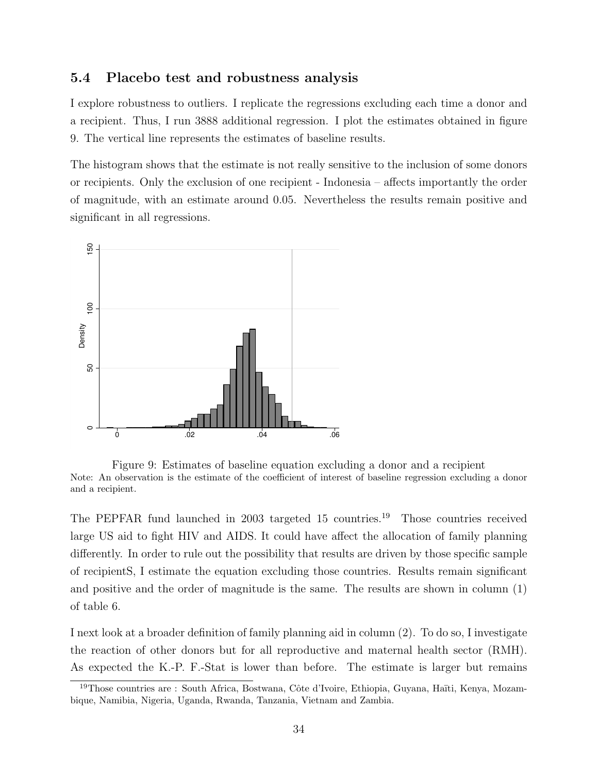#### 5.4 Placebo test and robustness analysis

I explore robustness to outliers. I replicate the regressions excluding each time a donor and a recipient. Thus, I run 3888 additional regression. I plot the estimates obtained in figure 9. The vertical line represents the estimates of baseline results.

The histogram shows that the estimate is not really sensitive to the inclusion of some donors or recipients. Only the exclusion of one recipient - Indonesia – affects importantly the order of magnitude, with an estimate around 0.05. Nevertheless the results remain positive and significant in all regressions.



Figure 9: Estimates of baseline equation excluding a donor and a recipient Note: An observation is the estimate of the coefficient of interest of baseline regression excluding a donor and a recipient.

The PEPFAR fund launched in 2003 targeted 15 countries.<sup>19</sup> Those countries received large US aid to fight HIV and AIDS. It could have affect the allocation of family planning differently. In order to rule out the possibility that results are driven by those specific sample of recipientS, I estimate the equation excluding those countries. Results remain significant and positive and the order of magnitude is the same. The results are shown in column (1) of table 6.

I next look at a broader definition of family planning aid in column (2). To do so, I investigate the reaction of other donors but for all reproductive and maternal health sector (RMH). As expected the K.-P. F.-Stat is lower than before. The estimate is larger but remains

<sup>&</sup>lt;sup>19</sup>Those countries are : South Africa, Bostwana, Côte d'Ivoire, Ethiopia, Guyana, Haïti, Kenya, Mozambique, Namibia, Nigeria, Uganda, Rwanda, Tanzania, Vietnam and Zambia.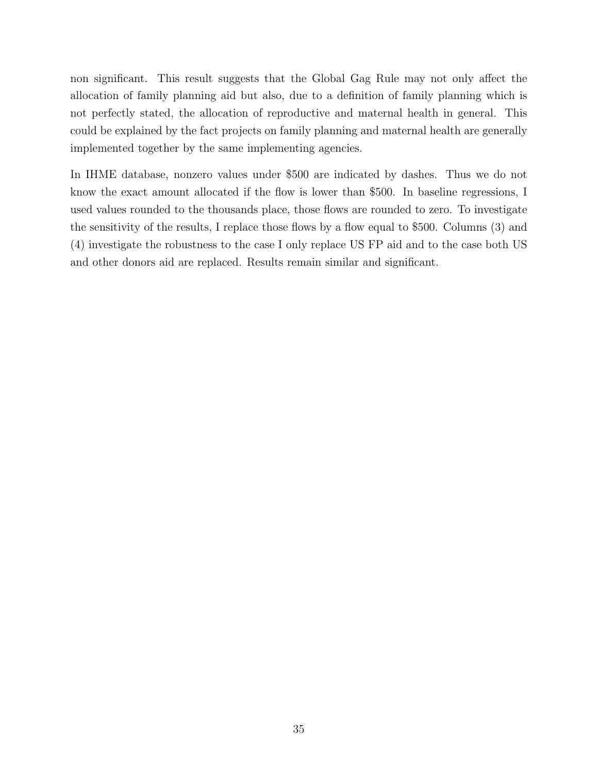non significant. This result suggests that the Global Gag Rule may not only affect the allocation of family planning aid but also, due to a definition of family planning which is not perfectly stated, the allocation of reproductive and maternal health in general. This could be explained by the fact projects on family planning and maternal health are generally implemented together by the same implementing agencies.

In IHME database, nonzero values under \$500 are indicated by dashes. Thus we do not know the exact amount allocated if the flow is lower than \$500. In baseline regressions, I used values rounded to the thousands place, those flows are rounded to zero. To investigate the sensitivity of the results, I replace those flows by a flow equal to \$500. Columns (3) and (4) investigate the robustness to the case I only replace US FP aid and to the case both US and other donors aid are replaced. Results remain similar and significant.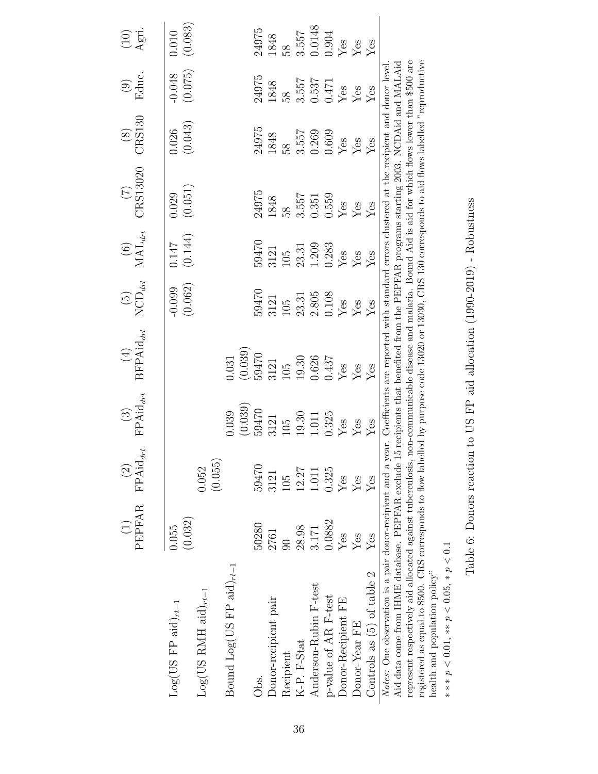|                                                                                                                                                                                                                                                                                                   | PEPFAR FPAid <sub>drt</sub><br>$\begin{array}{c}\n\begin{array}{c}\n\end{array}\n\end{array}$ | $\odot$ | $FPAid_{drt}$<br>$\begin{pmatrix} 3 \end{pmatrix}$ | (4) $(5)$ $(6)$<br>BFPAid <sub>art</sub> NCD <sub>art</sub> MAL <sub>art</sub> | $\left(\frac{15}{2}\right)$ |             | $(T)$<br>CRS13020 | $\begin{array}{c} (8) \\ \text{CRS130} \end{array}$ | Educ.<br>$\odot$ | $\frac{\text{(10)}}{\text{April.}}$ |
|---------------------------------------------------------------------------------------------------------------------------------------------------------------------------------------------------------------------------------------------------------------------------------------------------|-----------------------------------------------------------------------------------------------|---------|----------------------------------------------------|--------------------------------------------------------------------------------|-----------------------------|-------------|-------------------|-----------------------------------------------------|------------------|-------------------------------------|
| $Log(US FP \text{ aid})_{rt-1}$                                                                                                                                                                                                                                                                   | 0.055                                                                                         |         |                                                    |                                                                                | $-0.099$                    | 0.147       | 0.029             | 0.026                                               | $-0.048$         | 0.010                               |
| $Log(US RMH aid)_{rt-1}$                                                                                                                                                                                                                                                                          | (0.032)                                                                                       | 0.052   |                                                    |                                                                                | (0.062)                     | (0.144)     | (0.051)           | (0.043)                                             | (0.075)          | (0.083)                             |
|                                                                                                                                                                                                                                                                                                   |                                                                                               | (0.055) | 0.039                                              | 0.31                                                                           |                             |             |                   |                                                     |                  |                                     |
| Bound Log(US FP aid) $_{rt-1}$                                                                                                                                                                                                                                                                    |                                                                                               |         | (0.039)                                            | (0.039)                                                                        |                             |             |                   |                                                     |                  |                                     |
| Obs.                                                                                                                                                                                                                                                                                              | 50280                                                                                         | 59470   | 59470                                              | 59470                                                                          | 59470                       | 59470       | 24975             | 24975                                               | 24975            | 24975                               |
| Donor-recipient pair                                                                                                                                                                                                                                                                              | 2761                                                                                          | 3121    | 3121                                               | 3121                                                                           | 3121                        | 3121        | 1848              | 1848                                                | 1848             | 1848                                |
| Recipient                                                                                                                                                                                                                                                                                         | $\overline{\mathrm{SO}}$                                                                      | 105     | 105                                                | 105                                                                            | 105                         | 105         |                   | $\overline{8}$                                      | 58               | 8 <sup>o</sup>                      |
| K-P. F-Stat                                                                                                                                                                                                                                                                                       | 28.98                                                                                         | 12.27   | 19.30                                              | 19.30                                                                          | 23.31                       | 23.31       | 3.557             | 3.557                                               | 3.557            |                                     |
| Anderson-Rubin F-test                                                                                                                                                                                                                                                                             | 3.171                                                                                         | 1.011   | 1.011                                              | 0.626                                                                          | 2.805                       | 1.209       | 0.351             | 0.269                                               | 0.537            | 3.557<br>0.0148                     |
| p-value of AR F-test                                                                                                                                                                                                                                                                              | 0.0882                                                                                        | 0.325   | 0.325                                              | 0.437                                                                          | 0.108                       | 0.283       | 0.559             | 0.609                                               | 0.471            | 0.904                               |
| Donor-Recipient FE                                                                                                                                                                                                                                                                                | $Y$ es                                                                                        | Yes     | ${\rm Yes}$                                        | Yes                                                                            | Yes                         | ${\rm Yes}$ | $\rm Yes$         | $\rm Yes$                                           | Yes              | $\rm Yes$                           |
| Donor-Year FE                                                                                                                                                                                                                                                                                     | $Y$ es                                                                                        | Yes     | $Y$ es                                             | Yes                                                                            | Yes                         | Yes         | Yes               | $\rm Yes$                                           | Yes              | $Y$ es                              |
| Controls as (5) of table 2                                                                                                                                                                                                                                                                        | Yes                                                                                           | Yes     | Yes                                                | Yes                                                                            | Yes                         | Yes         | Yes               | $Y$ es                                              | Yes              | Yes                                 |
| Aid data come from IHME database. PEPFAR exclude 15 recipients that benefited from the PEPFAR programs starting 2003. NCDAid and MALAid<br>Notes: One observation is a pair donor-recipient and a year. Coefficients are reported with standard errors clustered at the recipient and donor level |                                                                                               |         |                                                    |                                                                                |                             |             |                   |                                                     |                  |                                     |
| represent respectively aid allocated against tuberculosis, non-communicable disease and malaria. Bound Aid is aid for which flows lower than \$500 are                                                                                                                                            |                                                                                               |         |                                                    |                                                                                |                             |             |                   |                                                     |                  |                                     |
| registered as equal to \$500. CRS corresponds to flow labelled by purpose code 13020 or 13030, CRS 130 corresponds to aid flows labelled "reproductive<br>health and population policy"                                                                                                           |                                                                                               |         |                                                    |                                                                                |                             |             |                   |                                                     |                  |                                     |
|                                                                                                                                                                                                                                                                                                   |                                                                                               |         |                                                    |                                                                                |                             |             |                   |                                                     |                  |                                     |

Table 6: Donors reaction to US FP aid allocation (1990-2019) - Robustness Table 6: Donors reaction to US FP aid allocation (1990-2019) - Robustness

∗ ∗ ∗ p < 0.01, ∗∗ p < 0.05, ∗ p < 0.1

 $\ast \ast \ast \, p < 0.01, \, \ast \ast \, p < 0.05, \, \ast \, p < 0.1$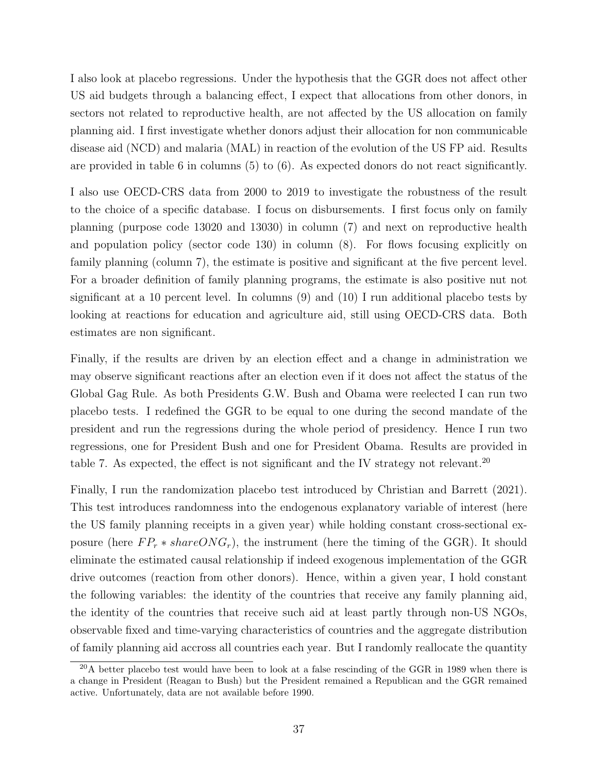I also look at placebo regressions. Under the hypothesis that the GGR does not affect other US aid budgets through a balancing effect, I expect that allocations from other donors, in sectors not related to reproductive health, are not affected by the US allocation on family planning aid. I first investigate whether donors adjust their allocation for non communicable disease aid (NCD) and malaria (MAL) in reaction of the evolution of the US FP aid. Results are provided in table 6 in columns (5) to (6). As expected donors do not react significantly.

I also use OECD-CRS data from 2000 to 2019 to investigate the robustness of the result to the choice of a specific database. I focus on disbursements. I first focus only on family planning (purpose code 13020 and 13030) in column (7) and next on reproductive health and population policy (sector code 130) in column (8). For flows focusing explicitly on family planning (column 7), the estimate is positive and significant at the five percent level. For a broader definition of family planning programs, the estimate is also positive nut not significant at a 10 percent level. In columns (9) and (10) I run additional placebo tests by looking at reactions for education and agriculture aid, still using OECD-CRS data. Both estimates are non significant.

Finally, if the results are driven by an election effect and a change in administration we may observe significant reactions after an election even if it does not affect the status of the Global Gag Rule. As both Presidents G.W. Bush and Obama were reelected I can run two placebo tests. I redefined the GGR to be equal to one during the second mandate of the president and run the regressions during the whole period of presidency. Hence I run two regressions, one for President Bush and one for President Obama. Results are provided in table 7. As expected, the effect is not significant and the IV strategy not relevant.<sup>20</sup>

Finally, I run the randomization placebo test introduced by Christian and Barrett (2021). This test introduces randomness into the endogenous explanatory variable of interest (here the US family planning receipts in a given year) while holding constant cross-sectional exposure (here  $FP_r * shareONG_r$ ), the instrument (here the timing of the GGR). It should eliminate the estimated causal relationship if indeed exogenous implementation of the GGR drive outcomes (reaction from other donors). Hence, within a given year, I hold constant the following variables: the identity of the countries that receive any family planning aid, the identity of the countries that receive such aid at least partly through non-US NGOs, observable fixed and time-varying characteristics of countries and the aggregate distribution of family planning aid accross all countries each year. But I randomly reallocate the quantity

 $^{20}$ A better placebo test would have been to look at a false rescinding of the GGR in 1989 when there is a change in President (Reagan to Bush) but the President remained a Republican and the GGR remained active. Unfortunately, data are not available before 1990.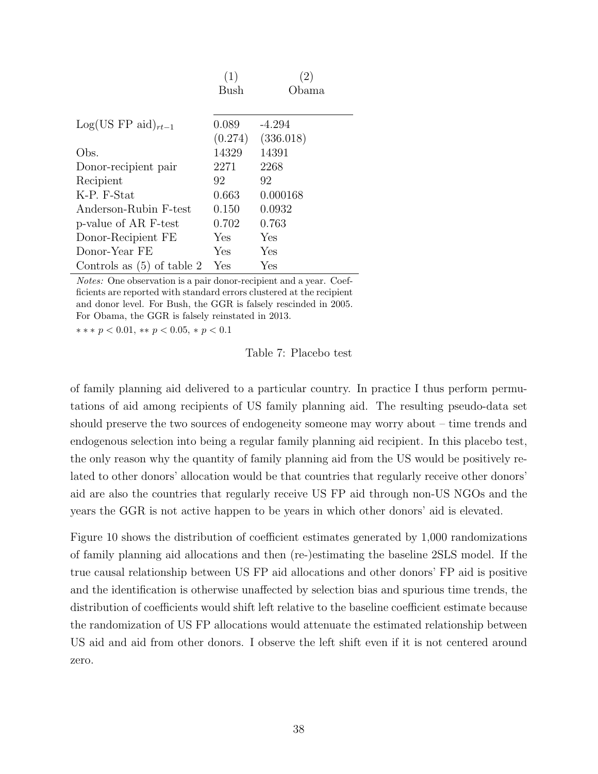|                              | (1)         | $\left( 2\right)$ |
|------------------------------|-------------|-------------------|
|                              | Bush        | Obama             |
|                              |             |                   |
| $Log(US FP aid)_{rt-1}$      | 0.089       | $-4.294$          |
|                              | (0.274)     | (336.018)         |
| Obs.                         | 14329       | 14391             |
| Donor-recipient pair         | 2271        | 2268              |
| Recipient                    | 92          | 92                |
| K-P. F-Stat                  | 0.663       | 0.000168          |
| Anderson-Rubin F-test        | 0.150       | 0.0932            |
| p-value of AR F-test         | 0.702       | 0.763             |
| Donor-Recipient FE           | <b>Yes</b>  | Yes               |
| Donor-Year FE                | Yes         | Yes               |
| Controls as $(5)$ of table 2 | ${\rm Yes}$ | Yes               |

Notes: One observation is a pair donor-recipient and a year. Coefficients are reported with standard errors clustered at the recipient and donor level. For Bush, the GGR is falsely rescinded in 2005. For Obama, the GGR is falsely reinstated in 2013. ∗ ∗ ∗ p < 0.01, ∗∗ p < 0.05, ∗ p < 0.1

Table 7: Placebo test

of family planning aid delivered to a particular country. In practice I thus perform permutations of aid among recipients of US family planning aid. The resulting pseudo-data set should preserve the two sources of endogeneity someone may worry about – time trends and endogenous selection into being a regular family planning aid recipient. In this placebo test, the only reason why the quantity of family planning aid from the US would be positively related to other donors' allocation would be that countries that regularly receive other donors' aid are also the countries that regularly receive US FP aid through non-US NGOs and the years the GGR is not active happen to be years in which other donors' aid is elevated.

Figure 10 shows the distribution of coefficient estimates generated by 1,000 randomizations of family planning aid allocations and then (re-)estimating the baseline 2SLS model. If the true causal relationship between US FP aid allocations and other donors' FP aid is positive and the identification is otherwise unaffected by selection bias and spurious time trends, the distribution of coefficients would shift left relative to the baseline coefficient estimate because the randomization of US FP allocations would attenuate the estimated relationship between US aid and aid from other donors. I observe the left shift even if it is not centered around zero.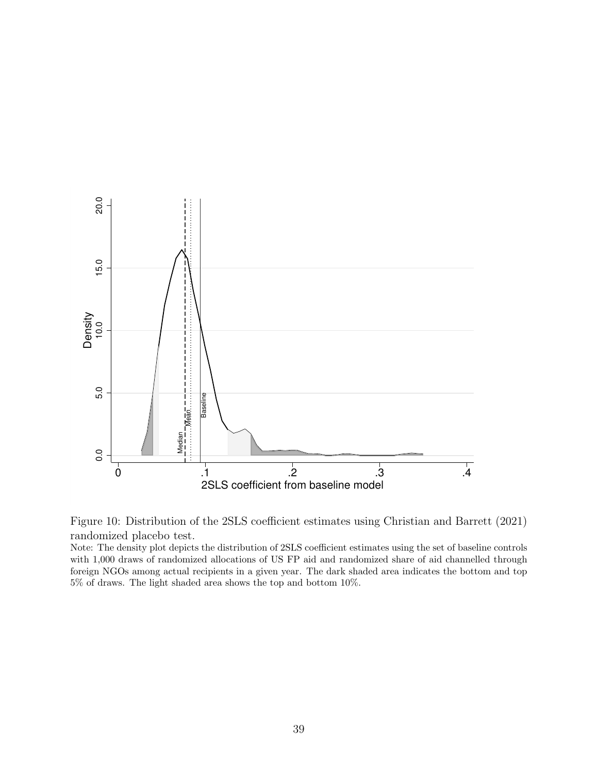



Note: The density plot depicts the distribution of 2SLS coefficient estimates using the set of baseline controls with 1,000 draws of randomized allocations of US FP aid and randomized share of aid channelled through foreign NGOs among actual recipients in a given year. The dark shaded area indicates the bottom and top 5% of draws. The light shaded area shows the top and bottom 10%.